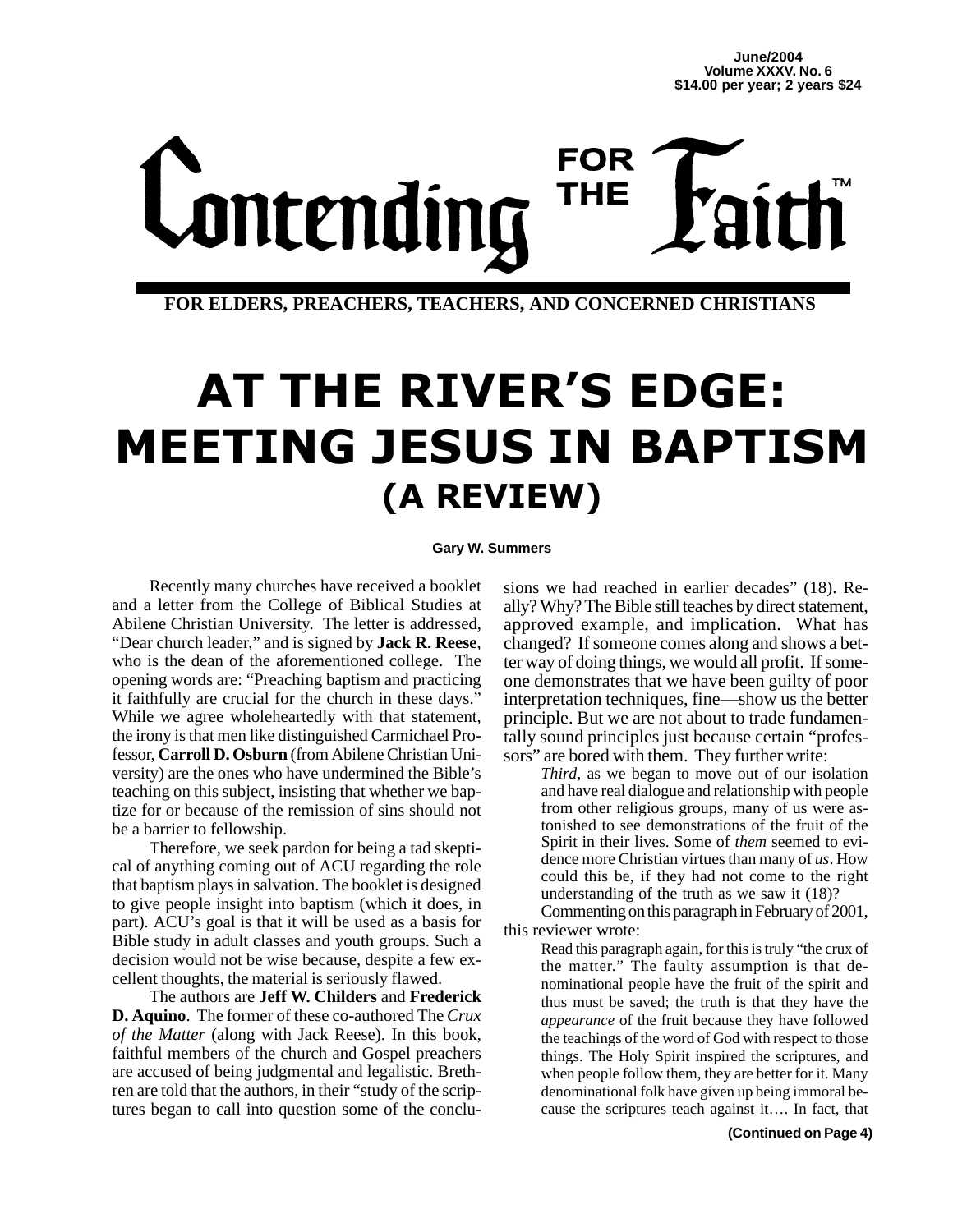# **FOR** Lontending **THE**

**FOR ELDERS, PREACHERS, TEACHERS, AND CONCERNED CHRISTIANS**

# **AT THE RIVER'S EDGE:** ETING JESUS IN BAPTI (A REVIEW) **Gary W. Summers**

Recently many churches have received a booklet and a letter from the College of Biblical Studies at Abilene Christian University. The letter is addressed, "Dear church leader," and is signed by **Jack R. Reese**, who is the dean of the aforementioned college. The opening words are: "Preaching baptism and practicing it faithfully are crucial for the church in these days." While we agree wholeheartedly with that statement, the irony is that men like distinguished Carmichael Professor, **Carroll D. Osburn** (from Abilene Christian University) are the ones who have undermined the Bible's teaching on this subject, insisting that whether we baptize for or because of the remission of sins should not be a barrier to fellowship.

Therefore, we seek pardon for being a tad skeptical of anything coming out of ACU regarding the role that baptism plays in salvation. The booklet is designed to give people insight into baptism (which it does, in part). ACU's goal is that it will be used as a basis for Bible study in adult classes and youth groups. Such a decision would not be wise because, despite a few excellent thoughts, the material is seriously flawed.

The authors are **Jeff W. Childers** and **Frederick D. Aquino**. The former of these co-authored The *Crux of the Matter* (along with Jack Reese). In this book, faithful members of the church and Gospel preachers are accused of being judgmental and legalistic. Brethren are told that the authors, in their "study of the scriptures began to call into question some of the conclu-

sions we had reached in earlier decades" (18). Really? Why? The Bible still teaches by direct statement, approved example, and implication. What has changed? If someone comes along and shows a better way of doing things, we would all profit. If someone demonstrates that we have been guilty of poor interpretation techniques, fine—show us the better principle. But we are not about to trade fundamentally sound principles just because certain "professors" are bored with them. They further write:

*Third*, as we began to move out of our isolation and have real dialogue and relationship with people from other religious groups, many of us were astonished to see demonstrations of the fruit of the Spirit in their lives. Some of *them* seemed to evidence more Christian virtues than many of *us*. How could this be, if they had not come to the right understanding of the truth as we saw it (18)?

Commenting on this paragraph in February of 2001, this reviewer wrote:

Read this paragraph again, for this is truly "the crux of the matter." The faulty assumption is that denominational people have the fruit of the spirit and thus must be saved; the truth is that they have the *appearance* of the fruit because they have followed the teachings of the word of God with respect to those things. The Holy Spirit inspired the scriptures, and when people follow them, they are better for it. Many denominational folk have given up being immoral because the scriptures teach against it…. In fact, that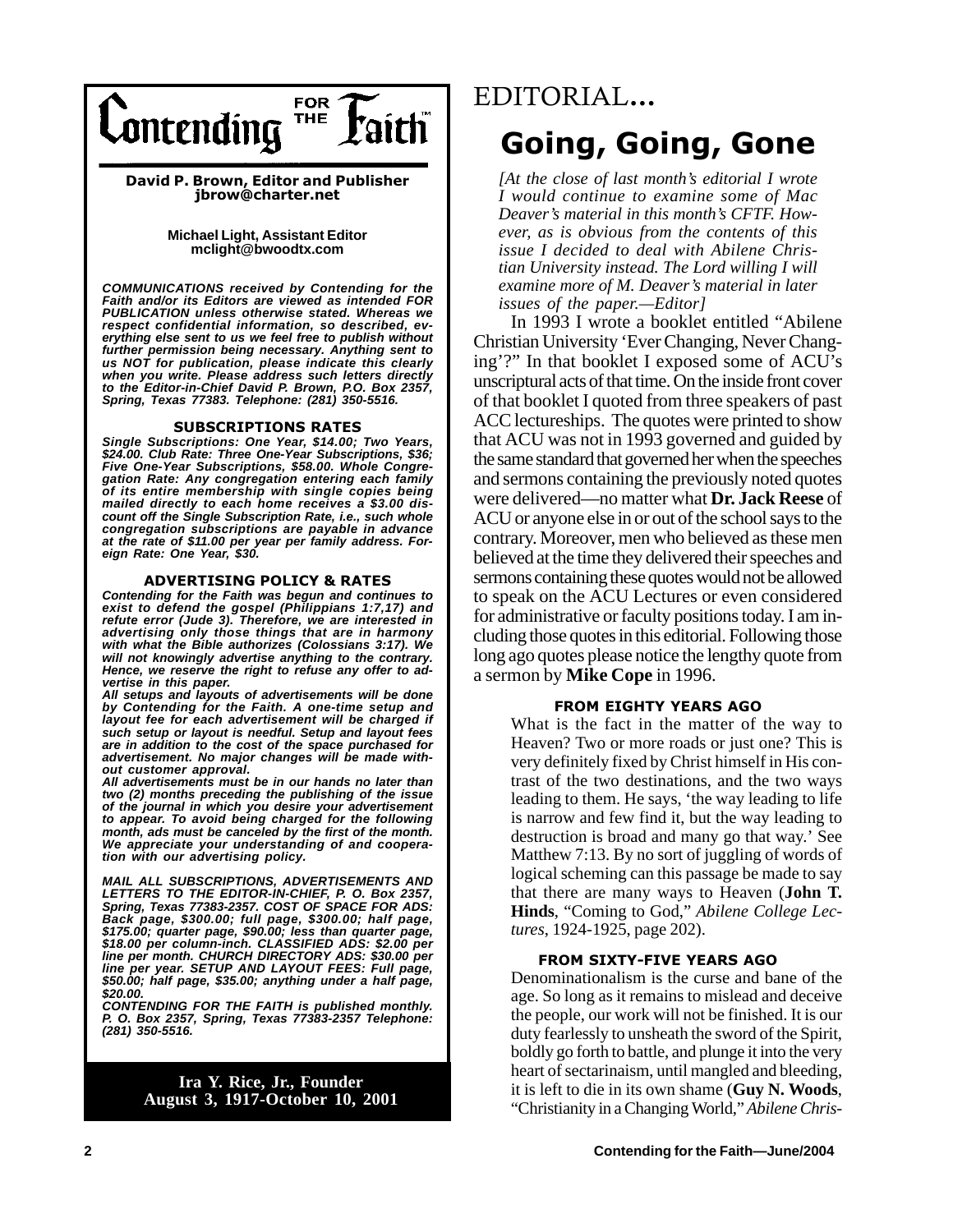

David P. Brown, Editor and Publisher jbrow@charter.net

> **Michael Light, Assistant Editor mclight@bwoodtx.com**

*COMMUNICATIONS received by Contending for the Faith and/or its Editors are viewed as intended FOR PUBLICATION unless otherwise stated. Whereas we respect confidential information, so described, ev-erything else sent to us we feel free to publish without further permission being necessary. Anything sent to us NOT for publication, please indicate this clearly when you write. Please address such letters directly to the Editor-in-Chief David P. Brown, P.O. Box 2357, Spring, Texas 77383. Telephone: (281) 350-5516.*

## **SUBSCRIPTIONS RATES**

Single Subscriptions: One Year, \$14.00; Two Years, *\$24.00. Club Rate: Three One-Year Subscriptions, \$36; Five One-Year Subscriptions, \$58.00. Whole Congregation Rate: Any congregation entering each family of its entire membership with single copies being mailed directly to each home receives a \$3.00 discount off the Single Subscription Rate, i.e., such whole congregation subscriptions are payable in advance at the rate of \$11.00 per year per family address. Foreign Rate: One Year, \$30.*

## **ADVERTISING POLICY & RATES**

Contending tor the Faith was begun and continues to<br>exist to defend the gospel (Philippians 1:7,17) and *Contending for the Faith was begun and continues to refute error (Jude 3). Therefore, we are interested in advertising only those things that are in harmony with what the Bible authorizes (Colossians 3:17). We will not knowingly advertise anything to the contrary. Hence, we reserve the right to refuse any offer to advertise in this paper.*

*All setups and layouts of advertisements will be done by Contending for the Faith. A one-time setup and layout fee for each advertisement will be charged if such setup or layout is needful. Setup and layout fees are in addition to the cost of the space purchased for advertisement. No major changes will be made without customer approval.*

*All advertisements must be in our hands no later than two (2) months preceding the publishing of the issue of the journal in which you desire your advertisement to appear. To avoid being charged for the following month, ads must be canceled by the first of the month. We appreciate your understanding of and cooperation with our advertising policy.*

*MAIL ALL SUBSCRIPTIONS, ADVERTISEMENTS AND LETTERS TO THE EDITOR-IN-CHIEF, P. O. Box 2357, Spring, Texas 77383-2357. COST OF SPACE FOR ADS: Back page, \$300.00; full page, \$300.00; half page, \$175.00; quarter page, \$90.00; less than quarter page, \$18.00 per column-inch. CLASSIFIED ADS: \$2.00 per line per month. CHURCH DIRECTORY ADS: \$30.00 per line per year. SETUP AND LAYOUT FEES: Full page, \$50.00; half page, \$35.00; anything under a half page, \$20.00.*

*CONTENDING FOR THE FAITH is published monthly. P. O. Box 2357, Spring, Texas 77383-2357 Telephone: (281) 350-5516.*

## **Ira Y. Rice, Jr., Founder August 3, 1917-October 10, 2001**

# EDITORIAL... **Going, Going, Gone**

*[At the close of last month's editorial I wrote I would continue to examine some of Mac Deaver's material in this month's CFTF. However, as is obvious from the contents of this issue I decided to deal with Abilene Christian University instead. The Lord willing I will examine more of M. Deaver's material in later issues of the paper.—Editor]*

In 1993 I wrote a booklet entitled "Abilene Christian University 'Ever Changing, Never Changing'?" In that booklet I exposed some of ACU's unscriptural acts of that time. On the inside front cover of that booklet I quoted from three speakers of past ACC lectureships. The quotes were printed to show that ACU was not in 1993 governed and guided by the same standard that governed her when the speeches and sermons containing the previously noted quotes were delivered—no matter what **Dr. Jack Reese** of ACU or anyone else in or out of the school says to the contrary. Moreover, men who believed as these men believed at the time they delivered their speeches and sermons containing these quotes would not be allowed to speak on the ACU Lectures or even considered for administrative or faculty positions today. I am including those quotes in this editorial. Following those long ago quotes please notice the lengthy quote from a sermon by **Mike Cope** in 1996.

## **FROM EIGHTY YEARS AGO**

What is the fact in the matter of the way to Heaven? Two or more roads or just one? This is very definitely fixed by Christ himself in His contrast of the two destinations, and the two ways leading to them. He says, 'the way leading to life is narrow and few find it, but the way leading to destruction is broad and many go that way.' See Matthew 7:13. By no sort of juggling of words of logical scheming can this passage be made to say that there are many ways to Heaven (**John T. Hinds**, "Coming to God," *Abilene College Lectures*, 1924-1925, page 202).

Denominationalism is the curse and bane of the age. So long as it remains to mislead and deceive the people, our work will not be finished. It is our duty fearlessly to unsheath the sword of the Spirit, boldly go forth to battle, and plunge it into the very heart of sectarinaism, until mangled and bleeding, it is left to die in its own shame (**Guy N. Woods**, "Christianity in a Changing World," *Abilene Chris-*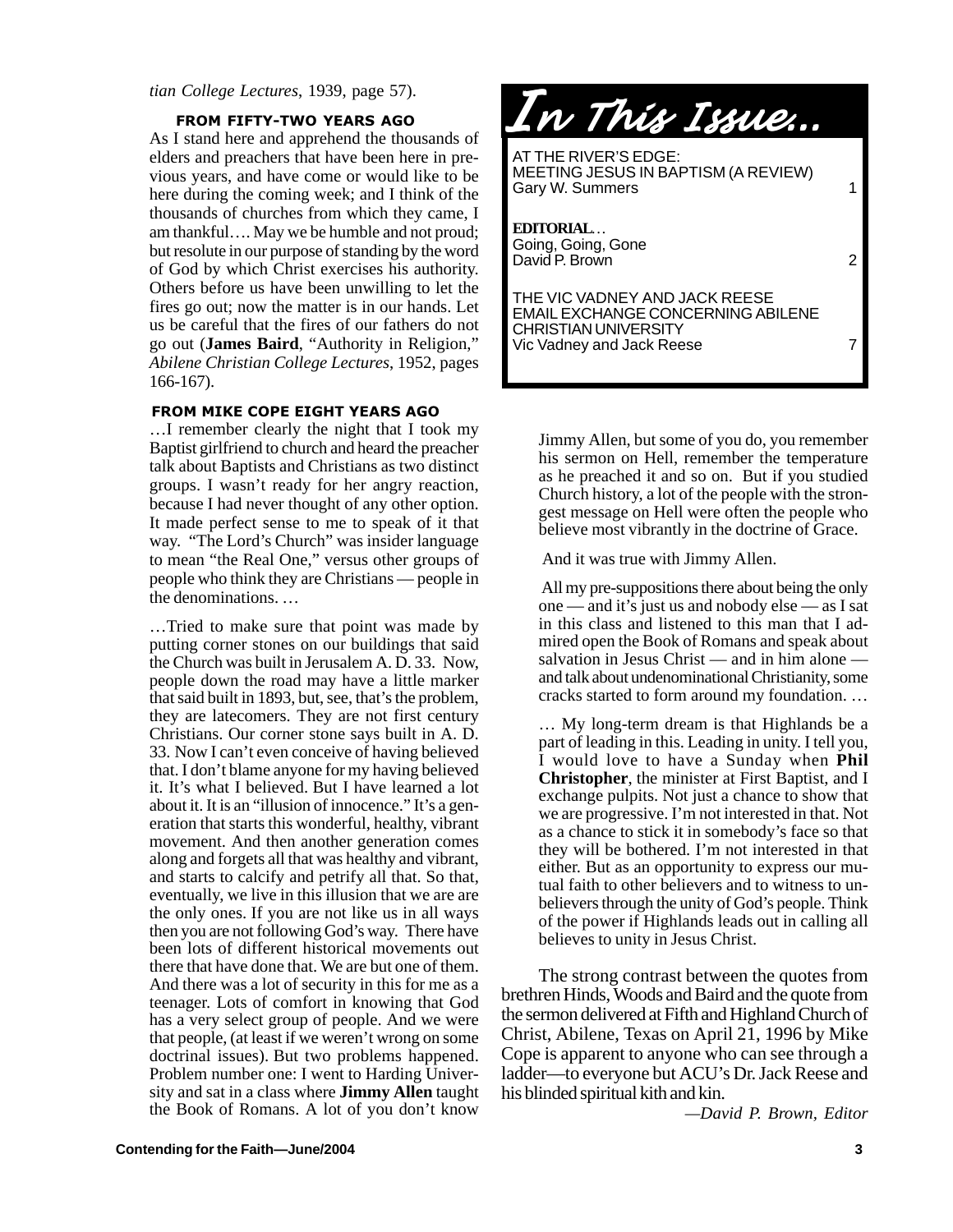*tian College Lectures*, 1939, page 57).

As I stand here and apprehend the thousands of elders and preachers that have been here in previous years, and have come or would like to be here during the coming week; and I think of the thousands of churches from which they came, I am thankful…. May we be humble and not proud; but resolute in our purpose of standing by the word of God by which Christ exercises his authority. Others before us have been unwilling to let the fires go out; now the matter is in our hands. Let us be careful that the fires of our fathers do not go out (**James Baird**, "Authority in Religion," *Abilene Christian College Lectures*, 1952, pages 166-167).

## FROM MIKE COPE EIGHT YEARS AGO

...I remember clearly the night that I took my Baptist girlfriend to church and heard the preacher talk about Baptists and Christians as two distinct groups. I wasn't ready for her angry reaction, because I had never thought of any other option. It made perfect sense to me to speak of it that way. "The Lord's Church" was insider language to mean "the Real One," versus other groups of people who think they are Christians — people in the denominations. …

…Tried to make sure that point was made by putting corner stones on our buildings that said the Church was built in Jerusalem A. D. 33. Now, people down the road may have a little marker that said built in 1893, but, see, that's the problem, they are latecomers. They are not first century Christians. Our corner stone says built in A. D. 33. Now I can't even conceive of having believed that. I don't blame anyone for my having believed it. It's what I believed. But I have learned a lot about it. It is an "illusion of innocence." It's a generation that starts this wonderful, healthy, vibrant movement. And then another generation comes along and forgets all that was healthy and vibrant, and starts to calcify and petrify all that. So that, eventually, we live in this illusion that we are are the only ones. If you are not like us in all ways then you are not following God's way. There have been lots of different historical movements out there that have done that. We are but one of them. And there was a lot of security in this for me as a teenager. Lots of comfort in knowing that God has a very select group of people. And we were that people, (at least if we weren't wrong on some doctrinal issues). But two problems happened. Problem number one: I went to Harding University and sat in a class where **Jimmy Allen** taught the Book of Romans. A lot of you don't know



Jimmy Allen, but some of you do, you remember his sermon on Hell, remember the temperature as he preached it and so on. But if you studied Church history, a lot of the people with the strongest message on Hell were often the people who believe most vibrantly in the doctrine of Grace.

And it was true with Jimmy Allen.

 All my pre-suppositions there about being the only one — and it's just us and nobody else — as I sat in this class and listened to this man that I admired open the Book of Romans and speak about salvation in Jesus Christ — and in him alone and talk about undenominational Christianity, some cracks started to form around my foundation. …

… My long-term dream is that Highlands be a part of leading in this. Leading in unity. I tell you, I would love to have a Sunday when **Phil Christopher**, the minister at First Baptist, and I exchange pulpits. Not just a chance to show that we are progressive. I'm not interested in that. Not as a chance to stick it in somebody's face so that they will be bothered. I'm not interested in that either. But as an opportunity to express our mutual faith to other believers and to witness to unbelievers through the unity of God's people. Think of the power if Highlands leads out in calling all believes to unity in Jesus Christ.

The strong contrast between the quotes from brethren Hinds, Woods and Baird and the quote from the sermon delivered at Fifth and Highland Church of Christ, Abilene, Texas on April 21, 1996 by Mike Cope is apparent to anyone who can see through a ladder—to everyone but ACU's Dr. Jack Reese and his blinded spiritual kith and kin.

*—David P. Brown, Editor*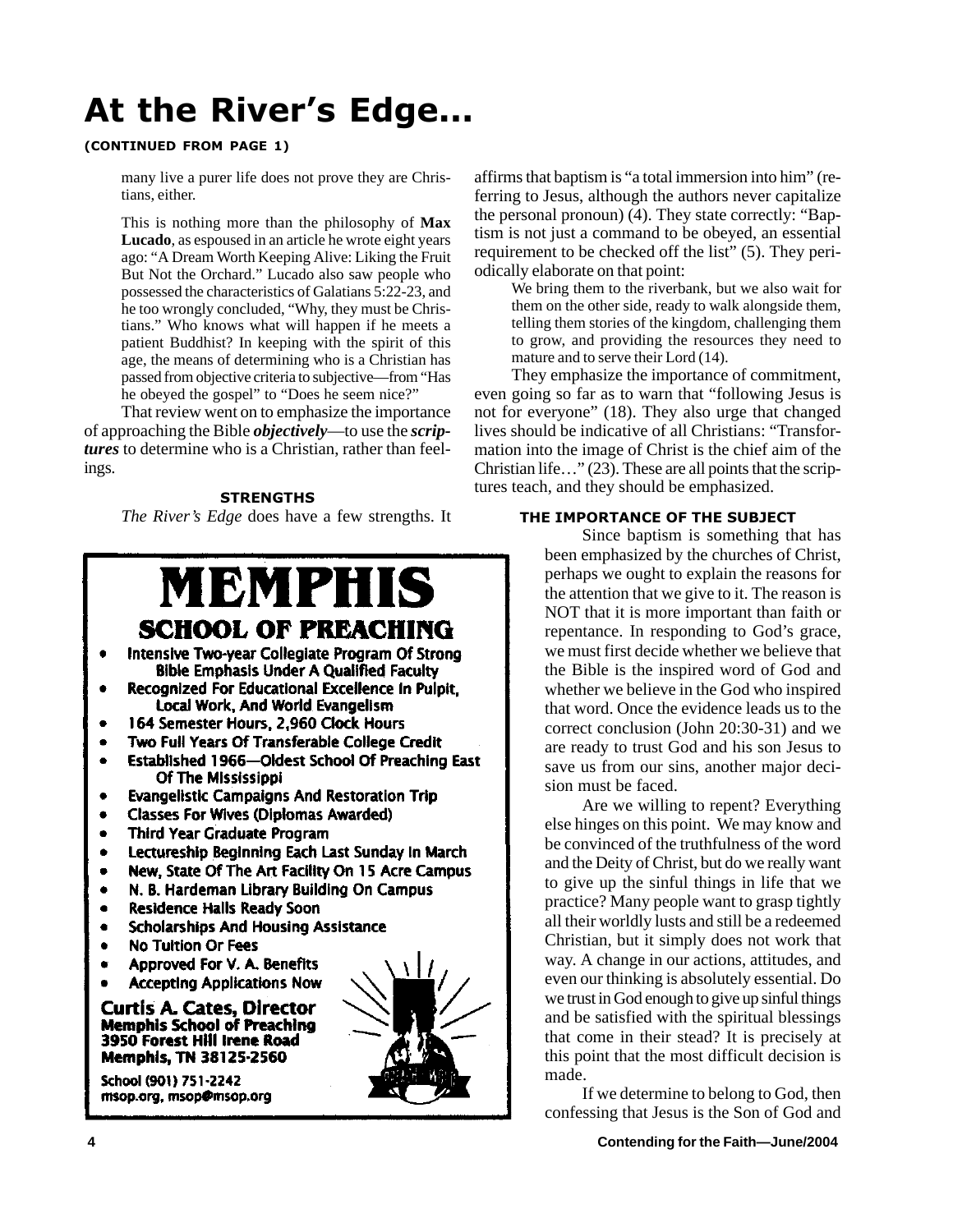# At the River's Edge...

## (CONTINUED FROM PAGE 1)

many live a purer life does not prove they are Christians, either.

This is nothing more than the philosophy of **Max Lucado**, as espoused in an article he wrote eight years ago: "A Dream Worth Keeping Alive: Liking the Fruit But Not the Orchard." Lucado also saw people who possessed the characteristics of Galatians 5:22-23, and he too wrongly concluded, "Why, they must be Christians." Who knows what will happen if he meets a patient Buddhist? In keeping with the spirit of this age, the means of determining who is a Christian has passed from objective criteria to subjective—from "Has he obeyed the gospel" to "Does he seem nice?"

That review went on to emphasize the importance of approaching the Bible *objectively*—to use the *scriptures* to determine who is a Christian, rather than feelings.

## **STRENGTHS**

The River's Edge does have a few strengths. It

## MBMPHIS **SCHOOL OF PREACHING**

- Intensive Two-year Collegiate Program Of Strong **Bible Emphasis Under A Qualified Faculty**
- Recognized For Educational Excellence In Pulpit.  $\bullet$ Local Work, And World Evangelism
- 164 Semester Hours, 2.960 Clock Hours
- Two Full Years Of Transferable College Credit
- Established 1966-Oldest School Of Preaching East Of The Mississippi
- **Evangelistic Campaigns And Restoration Trip**
- **Classes For Wives (Diplomas Awarded)**
- **Third Year Graduate Program**
- Lectureship Beginning Each Last Sunday In March
- New, State Of The Art Facility On 15 Acre Campus
- N. B. Hardeman Library Building On Campus  $\bullet$
- **Residence Halls Ready Soon**
- **Scholarships And Housing Assistance**  $\bullet$
- **No Tultion Or Fees**  $\bullet$
- Approved For V. A. Benefits
- **Accepting Applications Now**

Curtis A. Cates, Director **Memphis School of Preaching** 3950 Forest Hill Irene Road **Memphis, TN 38125-2560** 

School (901) 751-2242 msop.org, msop@msop.org



affirms that baptism is "a total immersion into him" (referring to Jesus, although the authors never capitalize the personal pronoun) (4). They state correctly: "Baptism is not just a command to be obeyed, an essential requirement to be checked off the list" (5). They periodically elaborate on that point:

We bring them to the riverbank, but we also wait for them on the other side, ready to walk alongside them, telling them stories of the kingdom, challenging them to grow, and providing the resources they need to mature and to serve their Lord (14).

They emphasize the importance of commitment, even going so far as to warn that "following Jesus is not for everyone" (18). They also urge that changed lives should be indicative of all Christians: "Transformation into the image of Christ is the chief aim of the Christian life…" (23). These are all points that the scriptures teach, and they should be emphasized.

## THE IMPORTANCE OF THE SUBJECT

Since baptism is something that has been emphasized by the churches of Christ, perhaps we ought to explain the reasons for the attention that we give to it. The reason is NOT that it is more important than faith or repentance. In responding to God's grace, we must first decide whether we believe that the Bible is the inspired word of God and whether we believe in the God who inspired that word. Once the evidence leads us to the correct conclusion (John 20:30-31) and we are ready to trust God and his son Jesus to save us from our sins, another major decision must be faced.

Are we willing to repent? Everything else hinges on this point. We may know and be convinced of the truthfulness of the word and the Deity of Christ, but do we really want to give up the sinful things in life that we practice? Many people want to grasp tightly all their worldly lusts and still be a redeemed Christian, but it simply does not work that way. A change in our actions, attitudes, and even our thinking is absolutely essential. Do we trust in God enough to give up sinful things and be satisfied with the spiritual blessings that come in their stead? It is precisely at this point that the most difficult decision is made.

If we determine to belong to God, then confessing that Jesus is the Son of God and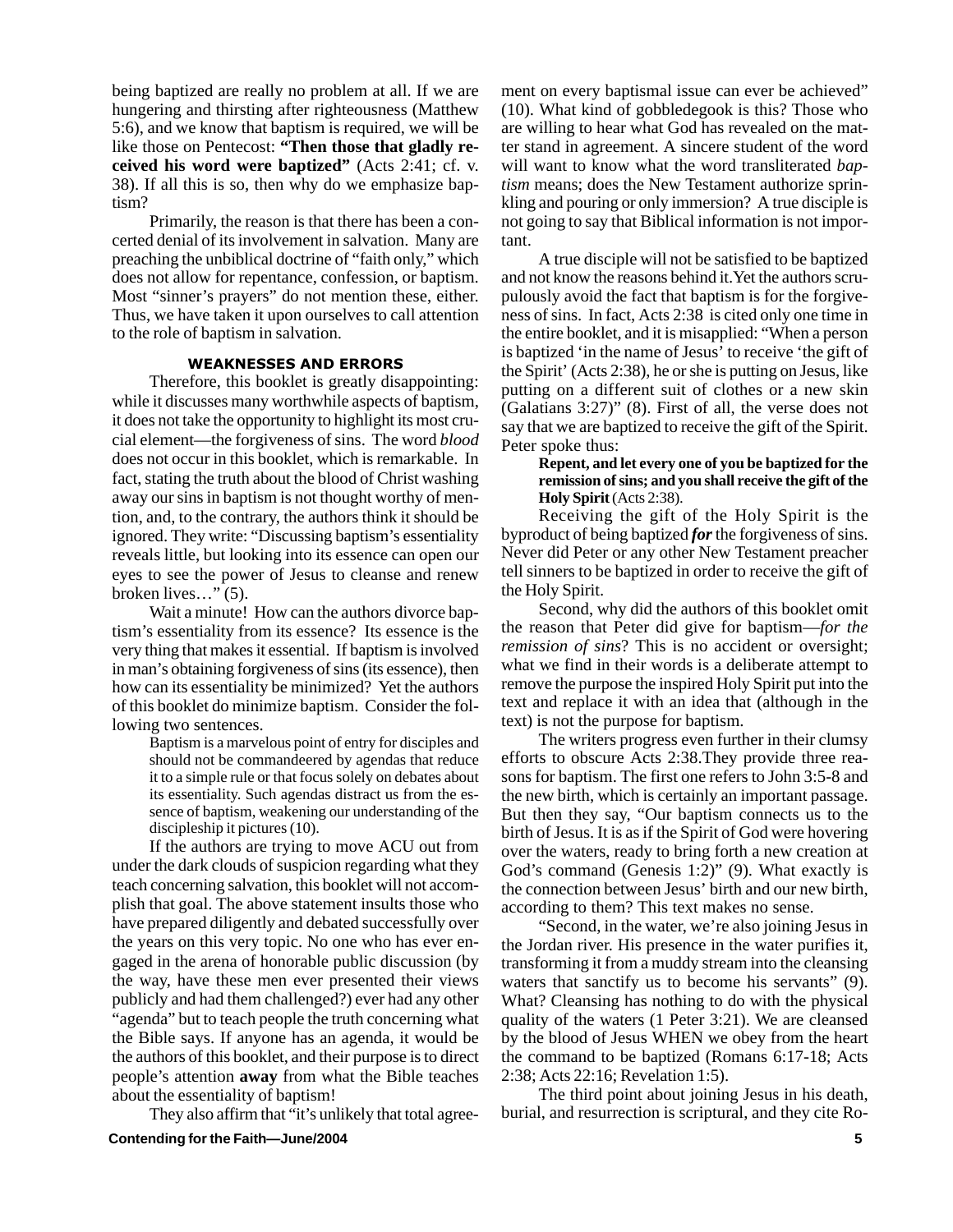being baptized are really no problem at all. If we are hungering and thirsting after righteousness (Matthew 5:6), and we know that baptism is required, we will be like those on Pentecost: **"Then those that gladly received his word were baptized"** (Acts 2:41; cf. v. 38). If all this is so, then why do we emphasize baptism?

Primarily, the reason is that there has been a concerted denial of its involvement in salvation. Many are preaching the unbiblical doctrine of "faith only," which does not allow for repentance, confession, or baptism. Most "sinner's prayers" do not mention these, either. Thus, we have taken it upon ourselves to call attention to the role of baptism in salvation.

## **WEAKNESSES AND ERRORS**

Therefore, this booklet is greatly disappointing: while it discusses many worthwhile aspects of baptism, it does not take the opportunity to highlight its most crucial element—the forgiveness of sins. The word *blood* does not occur in this booklet, which is remarkable. In fact, stating the truth about the blood of Christ washing away our sins in baptism is not thought worthy of mention, and, to the contrary, the authors think it should be ignored. They write: "Discussing baptism's essentiality reveals little, but looking into its essence can open our eyes to see the power of Jesus to cleanse and renew broken lives…" (5).

Wait a minute! How can the authors divorce baptism's essentiality from its essence? Its essence is the very thing that makes it essential. If baptism is involved in man's obtaining forgiveness of sins (its essence), then how can its essentiality be minimized? Yet the authors of this booklet do minimize baptism. Consider the following two sentences.

> Baptism is a marvelous point of entry for disciples and should not be commandeered by agendas that reduce it to a simple rule or that focus solely on debates about its essentiality. Such agendas distract us from the essence of baptism, weakening our understanding of the discipleship it pictures (10).

If the authors are trying to move ACU out from under the dark clouds of suspicion regarding what they teach concerning salvation, this booklet will not accomplish that goal. The above statement insults those who have prepared diligently and debated successfully over the years on this very topic. No one who has ever engaged in the arena of honorable public discussion (by the way, have these men ever presented their views publicly and had them challenged?) ever had any other "agenda" but to teach people the truth concerning what the Bible says. If anyone has an agenda, it would be the authors of this booklet, and their purpose is to direct people's attention **away** from what the Bible teaches about the essentiality of baptism!

They also affirm that "it's unlikely that total agree-**Contending for the Faith—June/2004 5**

ment on every baptismal issue can ever be achieved" (10). What kind of gobbledegook is this? Those who are willing to hear what God has revealed on the matter stand in agreement. A sincere student of the word will want to know what the word transliterated *baptism* means; does the New Testament authorize sprinkling and pouring or only immersion? A true disciple is not going to say that Biblical information is not important.

A true disciple will not be satisfied to be baptized and not know the reasons behind it.Yet the authors scrupulously avoid the fact that baptism is for the forgiveness of sins. In fact, Acts 2:38 is cited only one time in the entire booklet, and it is misapplied: "When a person is baptized 'in the name of Jesus' to receive 'the gift of the Spirit' (Acts 2:38), he or she is putting on Jesus, like putting on a different suit of clothes or a new skin (Galatians 3:27)" (8). First of all, the verse does not say that we are baptized to receive the gift of the Spirit. Peter spoke thus:

**Repent, and let every one of you be baptized for the remission of sins; and you shall receive the gift of the Holy Spirit** (Acts 2:38).

Receiving the gift of the Holy Spirit is the byproduct of being baptized *for* the forgiveness of sins. Never did Peter or any other New Testament preacher tell sinners to be baptized in order to receive the gift of the Holy Spirit.

Second, why did the authors of this booklet omit the reason that Peter did give for baptism—*for the remission of sins*? This is no accident or oversight; what we find in their words is a deliberate attempt to remove the purpose the inspired Holy Spirit put into the text and replace it with an idea that (although in the text) is not the purpose for baptism.

The writers progress even further in their clumsy efforts to obscure Acts 2:38.They provide three reasons for baptism. The first one refers to John 3:5-8 and the new birth, which is certainly an important passage. But then they say, "Our baptism connects us to the birth of Jesus. It is as if the Spirit of God were hovering over the waters, ready to bring forth a new creation at God's command (Genesis 1:2)" (9). What exactly is the connection between Jesus' birth and our new birth, according to them? This text makes no sense.

"Second, in the water, we're also joining Jesus in the Jordan river. His presence in the water purifies it, transforming it from a muddy stream into the cleansing waters that sanctify us to become his servants" (9). What? Cleansing has nothing to do with the physical quality of the waters (1 Peter 3:21). We are cleansed by the blood of Jesus WHEN we obey from the heart the command to be baptized (Romans 6:17-18; Acts 2:38; Acts 22:16; Revelation 1:5).

The third point about joining Jesus in his death, burial, and resurrection is scriptural, and they cite Ro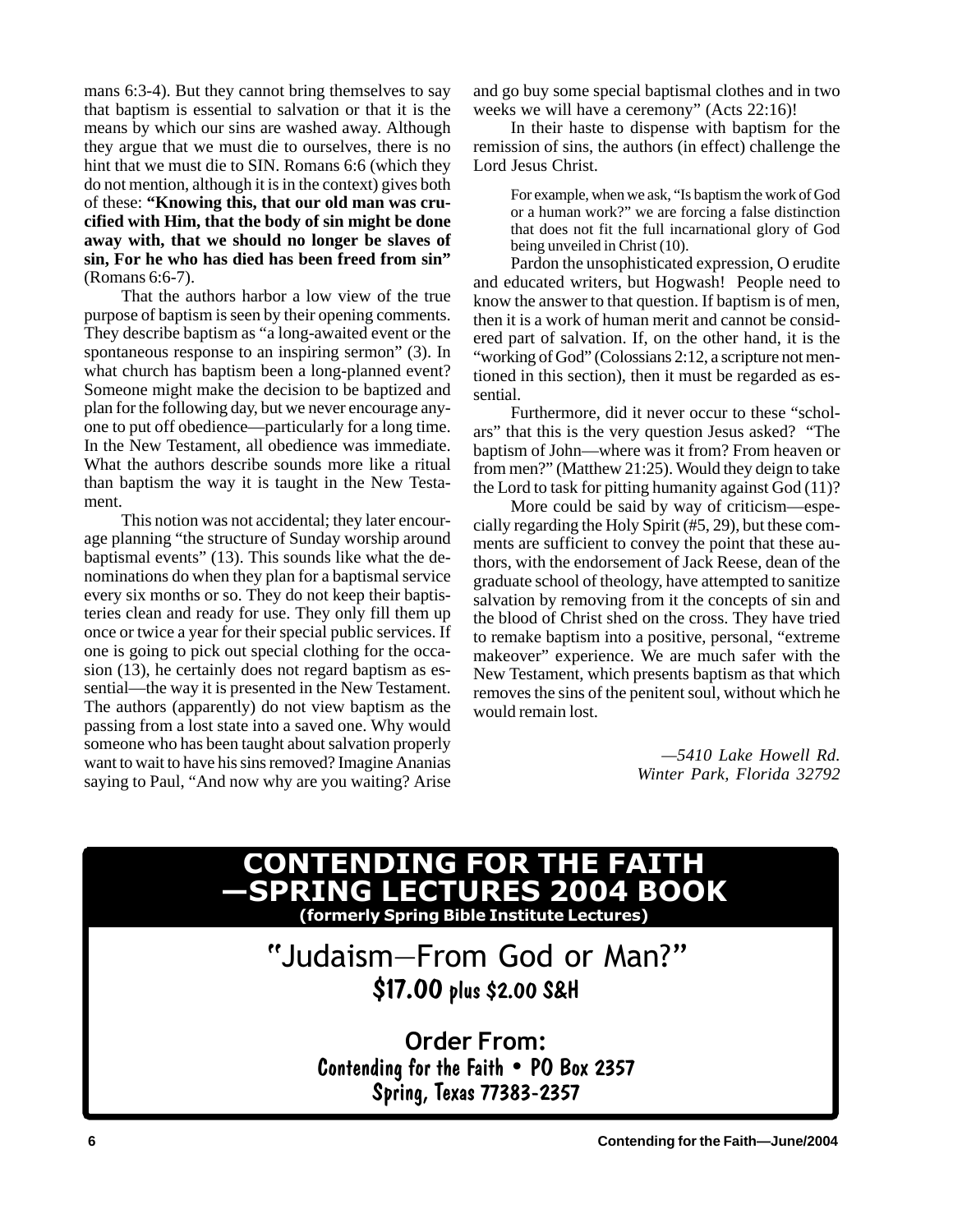mans 6:3-4). But they cannot bring themselves to say that baptism is essential to salvation or that it is the means by which our sins are washed away. Although they argue that we must die to ourselves, there is no hint that we must die to SIN. Romans 6:6 (which they do not mention, although it is in the context) gives both of these: **"Knowing this, that our old man was crucified with Him, that the body of sin might be done away with, that we should no longer be slaves of sin, For he who has died has been freed from sin"** (Romans 6:6-7).

That the authors harbor a low view of the true purpose of baptism is seen by their opening comments. They describe baptism as "a long-awaited event or the spontaneous response to an inspiring sermon" (3). In what church has baptism been a long-planned event? Someone might make the decision to be baptized and plan for the following day, but we never encourage anyone to put off obedience—particularly for a long time. In the New Testament, all obedience was immediate. What the authors describe sounds more like a ritual than baptism the way it is taught in the New Testament.

This notion was not accidental; they later encourage planning "the structure of Sunday worship around baptismal events" (13). This sounds like what the denominations do when they plan for a baptismal service every six months or so. They do not keep their baptisteries clean and ready for use. They only fill them up once or twice a year for their special public services. If one is going to pick out special clothing for the occasion (13), he certainly does not regard baptism as essential—the way it is presented in the New Testament. The authors (apparently) do not view baptism as the passing from a lost state into a saved one. Why would someone who has been taught about salvation properly want to wait to have his sins removed? Imagine Ananias saying to Paul, "And now why are you waiting? Arise and go buy some special baptismal clothes and in two weeks we will have a ceremony" (Acts 22:16)!

In their haste to dispense with baptism for the remission of sins, the authors (in effect) challenge the Lord Jesus Christ.

For example, when we ask, "Is baptism the work of God or a human work?" we are forcing a false distinction that does not fit the full incarnational glory of God being unveiled in Christ (10).

Pardon the unsophisticated expression, O erudite and educated writers, but Hogwash! People need to know the answer to that question. If baptism is of men, then it is a work of human merit and cannot be considered part of salvation. If, on the other hand, it is the "working of God" (Colossians 2:12, a scripture not mentioned in this section), then it must be regarded as essential.

Furthermore, did it never occur to these "scholars" that this is the very question Jesus asked? "The baptism of John—where was it from? From heaven or from men?" (Matthew 21:25). Would they deign to take the Lord to task for pitting humanity against God (11)?

More could be said by way of criticism—especially regarding the Holy Spirit (#5, 29), but these comments are sufficient to convey the point that these authors, with the endorsement of Jack Reese, dean of the graduate school of theology, have attempted to sanitize salvation by removing from it the concepts of sin and the blood of Christ shed on the cross. They have tried to remake baptism into a positive, personal, "extreme makeover" experience. We are much safer with the New Testament, which presents baptism as that which removes the sins of the penitent soul, without which he would remain lost.

> *—5410 Lake Howell Rd. Winter Park, Florida 32792*

# SPRING LECTURES 2004 BOO

(formerly Spring Bible Institute Lectures)

## 6 "Judaism-From God or Man?" \$17.00 plus \$2.00 S&H

Order From: Contending for the Faith . PO Box 2357 #\$ !%!&!"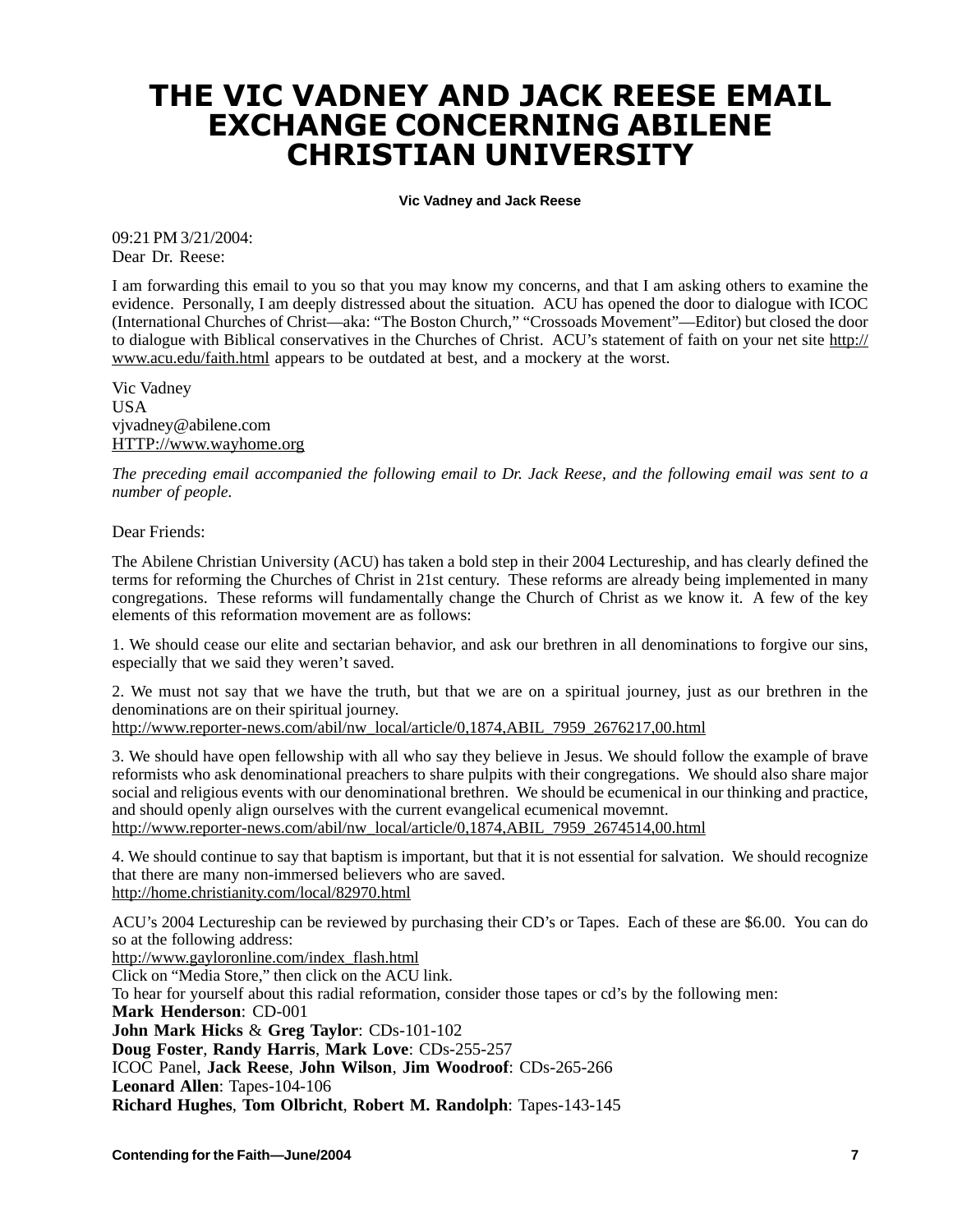## THE VIC VADNEY AND JACK REESE EMAIL EXCHANGE CONCERNING ABILENE **CHRISTIAN UNIVERSITY**

- **Vic Vadney and Jack Reese**

09:21 PM 3/21/2004: Dear Dr. Reese:

I am forwarding this email to you so that you may know my concerns, and that I am asking others to examine the evidence. Personally, I am deeply distressed about the situation. ACU has opened the door to dialogue with ICOC (International Churches of Christ—aka: "The Boston Church," "Crossoads Movement"—Editor) but closed the door to dialogue with Biblical conservatives in the Churches of Christ. ACU's statement of faith on your net site http:// www.acu.edu/faith.html appears to be outdated at best, and a mockery at the worst.

Vic Vadney USA vjvadney@abilene.com HTTP://www.wayhome.org

*The preceding email accompanied the following email to Dr. Jack Reese, and the following email was sent to a number of people.*

Dear Friends:

The Abilene Christian University (ACU) has taken a bold step in their 2004 Lectureship, and has clearly defined the terms for reforming the Churches of Christ in 21st century. These reforms are already being implemented in many congregations. These reforms will fundamentally change the Church of Christ as we know it. A few of the key elements of this reformation movement are as follows:

1. We should cease our elite and sectarian behavior, and ask our brethren in all denominations to forgive our sins, especially that we said they weren't saved.

2. We must not say that we have the truth, but that we are on a spiritual journey, just as our brethren in the denominations are on their spiritual journey.

http://www.reporter-news.com/abil/nw\_local/article/0,1874,ABIL\_7959\_2676217,00.html

3. We should have open fellowship with all who say they believe in Jesus. We should follow the example of brave reformists who ask denominational preachers to share pulpits with their congregations. We should also share major social and religious events with our denominational brethren. We should be ecumenical in our thinking and practice, and should openly align ourselves with the current evangelical ecumenical movemnt. http://www.reporter-news.com/abil/nw\_local/article/0,1874,ABIL\_7959\_2674514,00.html

4. We should continue to say that baptism is important, but that it is not essential for salvation. We should recognize that there are many non-immersed believers who are saved. http://home.christianity.com/local/82970.html

ACU's 2004 Lectureship can be reviewed by purchasing their CD's or Tapes. Each of these are \$6.00. You can do so at the following address:

http://www.gayloronline.com/index\_flash.html Click on "Media Store," then click on the ACU link. To hear for yourself about this radial reformation, consider those tapes or cd's by the following men: **Mark Henderson**: CD-001 **John Mark Hicks** & **Greg Taylor**: CDs-101-102 **Doug Foster**, **Randy Harris**, **Mark Love**: CDs-255-257 ICOC Panel, **Jack Reese**, **John Wilson**, **Jim Woodroof**: CDs-265-266 **Leonard Allen**: Tapes-104-106 **Richard Hughes**, **Tom Olbricht**, **Robert M. Randolph**: Tapes-143-145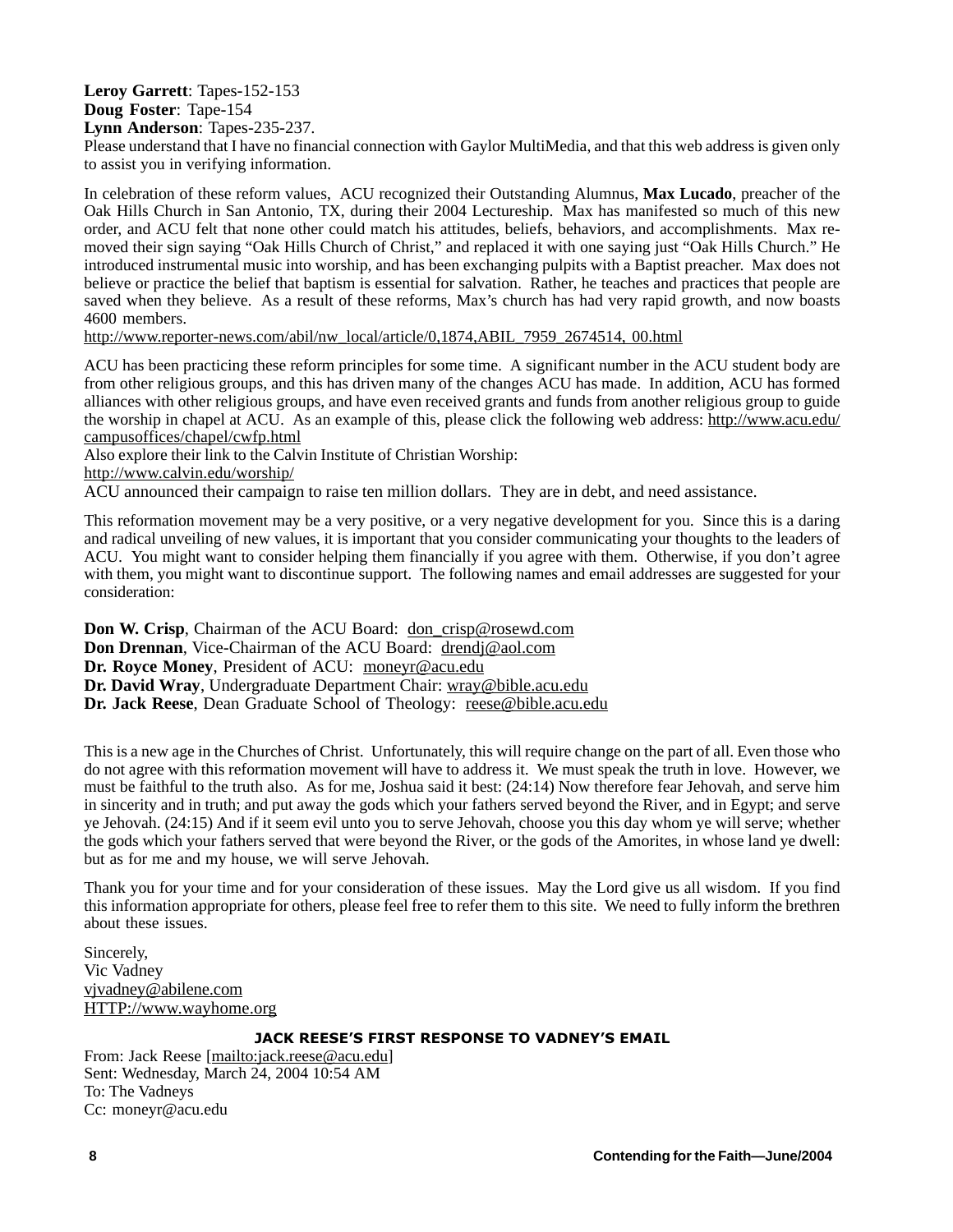## **Leroy Garrett**: Tapes-152-153 **Doug Foster**: Tape-154

**Lynn Anderson**: Tapes-235-237.

Please understand that I have no financial connection with Gaylor MultiMedia, and that this web address is given only to assist you in verifying information.

In celebration of these reform values, ACU recognized their Outstanding Alumnus, **Max Lucado**, preacher of the Oak Hills Church in San Antonio, TX, during their 2004 Lectureship. Max has manifested so much of this new order, and ACU felt that none other could match his attitudes, beliefs, behaviors, and accomplishments. Max removed their sign saying "Oak Hills Church of Christ," and replaced it with one saying just "Oak Hills Church." He introduced instrumental music into worship, and has been exchanging pulpits with a Baptist preacher. Max does not believe or practice the belief that baptism is essential for salvation. Rather, he teaches and practices that people are saved when they believe. As a result of these reforms, Max's church has had very rapid growth, and now boasts 4600 members.

http://www.reporter-news.com/abil/nw\_local/article/0,1874,ABIL\_7959\_2674514, 00.html

ACU has been practicing these reform principles for some time. A significant number in the ACU student body are from other religious groups, and this has driven many of the changes ACU has made. In addition, ACU has formed alliances with other religious groups, and have even received grants and funds from another religious group to guide the worship in chapel at ACU. As an example of this, please click the following web address: http://www.acu.edu/ campusoffices/chapel/cwfp.html

Also explore their link to the Calvin Institute of Christian Worship: http://www.calvin.edu/worship/

ACU announced their campaign to raise ten million dollars. They are in debt, and need assistance.

This reformation movement may be a very positive, or a very negative development for you. Since this is a daring and radical unveiling of new values, it is important that you consider communicating your thoughts to the leaders of ACU. You might want to consider helping them financially if you agree with them. Otherwise, if you don't agree with them, you might want to discontinue support. The following names and email addresses are suggested for your consideration:

**Don W. Crisp**, Chairman of the ACU Board: don\_crisp@rosewd.com **Don Drennan**, Vice-Chairman of the ACU Board: drendj@aol.com **Dr. Royce Money**, President of ACU: moneyr@acu.edu **Dr. David Wray**, Undergraduate Department Chair: wray@bible.acu.edu **Dr. Jack Reese**, Dean Graduate School of Theology: reese@bible.acu.edu

This is a new age in the Churches of Christ. Unfortunately, this will require change on the part of all. Even those who do not agree with this reformation movement will have to address it. We must speak the truth in love. However, we must be faithful to the truth also. As for me, Joshua said it best: (24:14) Now therefore fear Jehovah, and serve him in sincerity and in truth; and put away the gods which your fathers served beyond the River, and in Egypt; and serve ye Jehovah. (24:15) And if it seem evil unto you to serve Jehovah, choose you this day whom ye will serve; whether the gods which your fathers served that were beyond the River, or the gods of the Amorites, in whose land ye dwell: but as for me and my house, we will serve Jehovah.

Thank you for your time and for your consideration of these issues. May the Lord give us all wisdom. If you find this information appropriate for others, please feel free to refer them to this site. We need to fully inform the brethren about these issues.

Sincerely, Vic Vadney vjvadney@abilene.com HTTP://www.wayhome.org

From: Jack Reese <u>[mailto:jack.reese@acu.edu]</u> Sent: Wednesday, March 24, 2004 10:54 AM To: The Vadneys Cc: moneyr@acu.edu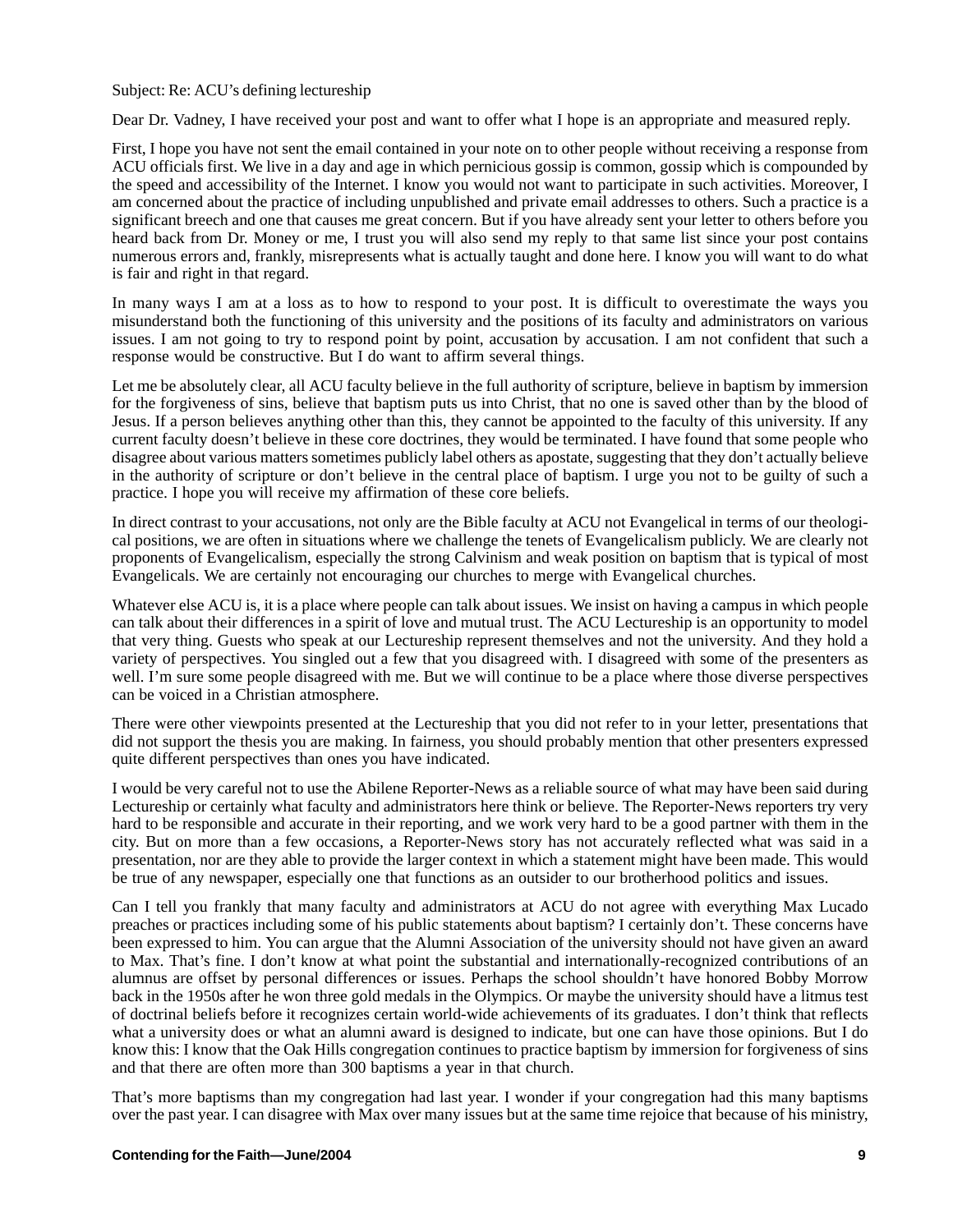## Subject: Re: ACU's defining lectureship

Dear Dr. Vadney, I have received your post and want to offer what I hope is an appropriate and measured reply.

First, I hope you have not sent the email contained in your note on to other people without receiving a response from ACU officials first. We live in a day and age in which pernicious gossip is common, gossip which is compounded by the speed and accessibility of the Internet. I know you would not want to participate in such activities. Moreover, I am concerned about the practice of including unpublished and private email addresses to others. Such a practice is a significant breech and one that causes me great concern. But if you have already sent your letter to others before you heard back from Dr. Money or me, I trust you will also send my reply to that same list since your post contains numerous errors and, frankly, misrepresents what is actually taught and done here. I know you will want to do what is fair and right in that regard.

In many ways I am at a loss as to how to respond to your post. It is difficult to overestimate the ways you misunderstand both the functioning of this university and the positions of its faculty and administrators on various issues. I am not going to try to respond point by point, accusation by accusation. I am not confident that such a response would be constructive. But I do want to affirm several things.

Let me be absolutely clear, all ACU faculty believe in the full authority of scripture, believe in baptism by immersion for the forgiveness of sins, believe that baptism puts us into Christ, that no one is saved other than by the blood of Jesus. If a person believes anything other than this, they cannot be appointed to the faculty of this university. If any current faculty doesn't believe in these core doctrines, they would be terminated. I have found that some people who disagree about various matters sometimes publicly label others as apostate, suggesting that they don't actually believe in the authority of scripture or don't believe in the central place of baptism. I urge you not to be guilty of such a practice. I hope you will receive my affirmation of these core beliefs.

In direct contrast to your accusations, not only are the Bible faculty at ACU not Evangelical in terms of our theological positions, we are often in situations where we challenge the tenets of Evangelicalism publicly. We are clearly not proponents of Evangelicalism, especially the strong Calvinism and weak position on baptism that is typical of most Evangelicals. We are certainly not encouraging our churches to merge with Evangelical churches.

Whatever else ACU is, it is a place where people can talk about issues. We insist on having a campus in which people can talk about their differences in a spirit of love and mutual trust. The ACU Lectureship is an opportunity to model that very thing. Guests who speak at our Lectureship represent themselves and not the university. And they hold a variety of perspectives. You singled out a few that you disagreed with. I disagreed with some of the presenters as well. I'm sure some people disagreed with me. But we will continue to be a place where those diverse perspectives can be voiced in a Christian atmosphere.

There were other viewpoints presented at the Lectureship that you did not refer to in your letter, presentations that did not support the thesis you are making. In fairness, you should probably mention that other presenters expressed quite different perspectives than ones you have indicated.

I would be very careful not to use the Abilene Reporter-News as a reliable source of what may have been said during Lectureship or certainly what faculty and administrators here think or believe. The Reporter-News reporters try very hard to be responsible and accurate in their reporting, and we work very hard to be a good partner with them in the city. But on more than a few occasions, a Reporter-News story has not accurately reflected what was said in a presentation, nor are they able to provide the larger context in which a statement might have been made. This would be true of any newspaper, especially one that functions as an outsider to our brotherhood politics and issues.

Can I tell you frankly that many faculty and administrators at ACU do not agree with everything Max Lucado preaches or practices including some of his public statements about baptism? I certainly don't. These concerns have been expressed to him. You can argue that the Alumni Association of the university should not have given an award to Max. That's fine. I don't know at what point the substantial and internationally-recognized contributions of an alumnus are offset by personal differences or issues. Perhaps the school shouldn't have honored Bobby Morrow back in the 1950s after he won three gold medals in the Olympics. Or maybe the university should have a litmus test of doctrinal beliefs before it recognizes certain world-wide achievements of its graduates. I don't think that reflects what a university does or what an alumni award is designed to indicate, but one can have those opinions. But I do know this: I know that the Oak Hills congregation continues to practice baptism by immersion for forgiveness of sins and that there are often more than 300 baptisms a year in that church.

That's more baptisms than my congregation had last year. I wonder if your congregation had this many baptisms over the past year. I can disagree with Max over many issues but at the same time rejoice that because of his ministry,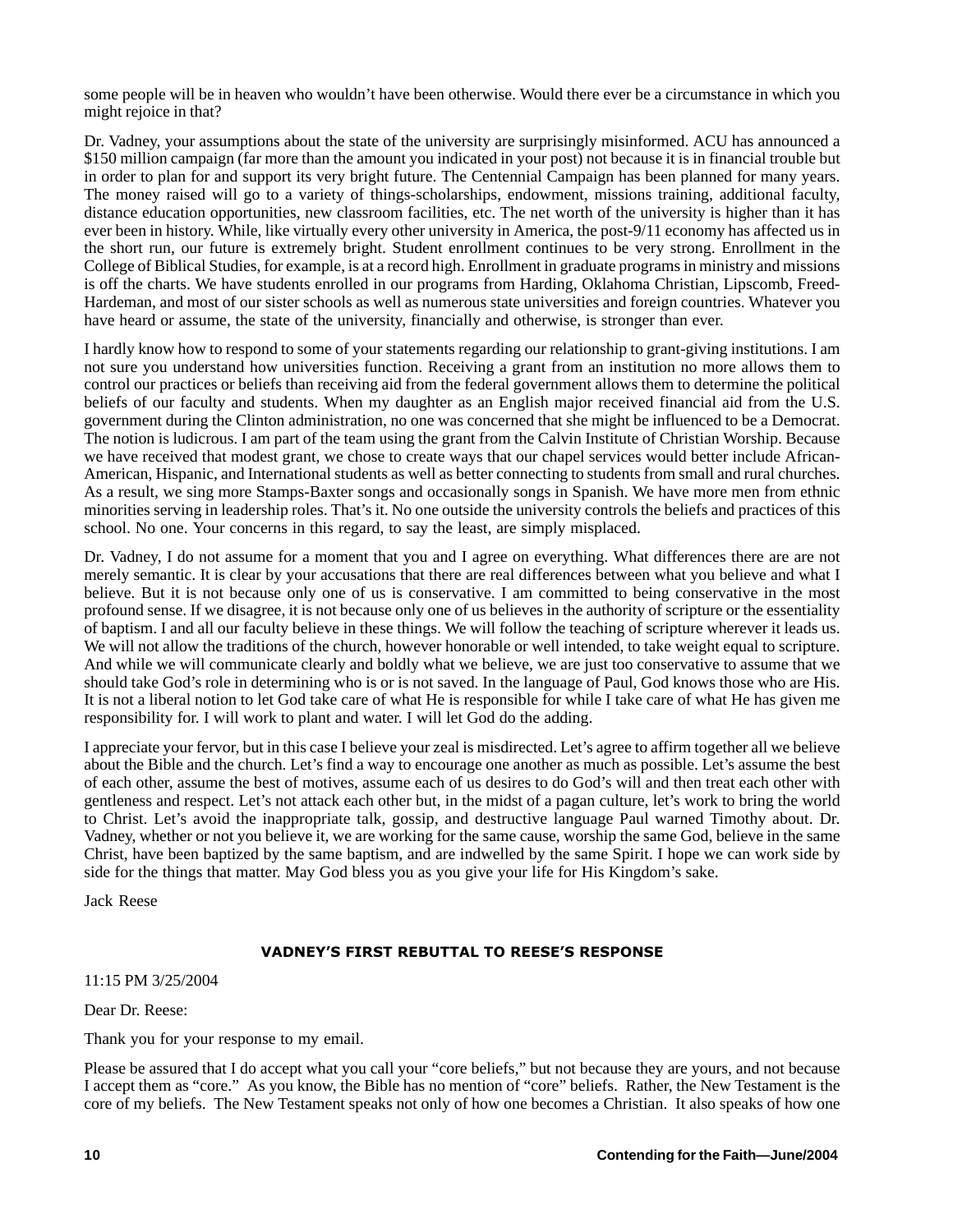some people will be in heaven who wouldn't have been otherwise. Would there ever be a circumstance in which you might rejoice in that?

Dr. Vadney, your assumptions about the state of the university are surprisingly misinformed. ACU has announced a \$150 million campaign (far more than the amount you indicated in your post) not because it is in financial trouble but in order to plan for and support its very bright future. The Centennial Campaign has been planned for many years. The money raised will go to a variety of things-scholarships, endowment, missions training, additional faculty, distance education opportunities, new classroom facilities, etc. The net worth of the university is higher than it has ever been in history. While, like virtually every other university in America, the post-9/11 economy has affected us in the short run, our future is extremely bright. Student enrollment continues to be very strong. Enrollment in the College of Biblical Studies, for example, is at a record high. Enrollment in graduate programs in ministry and missions is off the charts. We have students enrolled in our programs from Harding, Oklahoma Christian, Lipscomb, Freed-Hardeman, and most of our sister schools as well as numerous state universities and foreign countries. Whatever you have heard or assume, the state of the university, financially and otherwise, is stronger than ever.

I hardly know how to respond to some of your statements regarding our relationship to grant-giving institutions. I am not sure you understand how universities function. Receiving a grant from an institution no more allows them to control our practices or beliefs than receiving aid from the federal government allows them to determine the political beliefs of our faculty and students. When my daughter as an English major received financial aid from the U.S. government during the Clinton administration, no one was concerned that she might be influenced to be a Democrat. The notion is ludicrous. I am part of the team using the grant from the Calvin Institute of Christian Worship. Because we have received that modest grant, we chose to create ways that our chapel services would better include African-American, Hispanic, and International students as well as better connecting to students from small and rural churches. As a result, we sing more Stamps-Baxter songs and occasionally songs in Spanish. We have more men from ethnic minorities serving in leadership roles. That's it. No one outside the university controls the beliefs and practices of this school. No one. Your concerns in this regard, to say the least, are simply misplaced.

Dr. Vadney, I do not assume for a moment that you and I agree on everything. What differences there are are not merely semantic. It is clear by your accusations that there are real differences between what you believe and what I believe. But it is not because only one of us is conservative. I am committed to being conservative in the most profound sense. If we disagree, it is not because only one of us believes in the authority of scripture or the essentiality of baptism. I and all our faculty believe in these things. We will follow the teaching of scripture wherever it leads us. We will not allow the traditions of the church, however honorable or well intended, to take weight equal to scripture. And while we will communicate clearly and boldly what we believe, we are just too conservative to assume that we should take God's role in determining who is or is not saved. In the language of Paul, God knows those who are His. It is not a liberal notion to let God take care of what He is responsible for while I take care of what He has given me responsibility for. I will work to plant and water. I will let God do the adding.

I appreciate your fervor, but in this case I believe your zeal is misdirected. Let's agree to affirm together all we believe about the Bible and the church. Let's find a way to encourage one another as much as possible. Let's assume the best of each other, assume the best of motives, assume each of us desires to do God's will and then treat each other with gentleness and respect. Let's not attack each other but, in the midst of a pagan culture, let's work to bring the world to Christ. Let's avoid the inappropriate talk, gossip, and destructive language Paul warned Timothy about. Dr. Vadney, whether or not you believe it, we are working for the same cause, worship the same God, believe in the same Christ, have been baptized by the same baptism, and are indwelled by the same Spirit. I hope we can work side by side for the things that matter. May God bless you as you give your life for His Kingdom's sake.

Jack Reese

11:15 PM 3/25/2004

Dear Dr. Reese:

Thank you for your response to my email.

Please be assured that I do accept what you call your "core beliefs," but not because they are yours, and not because I accept them as "core." As you know, the Bible has no mention of "core" beliefs. Rather, the New Testament is the core of my beliefs. The New Testament speaks not only of how one becomes a Christian. It also speaks of how one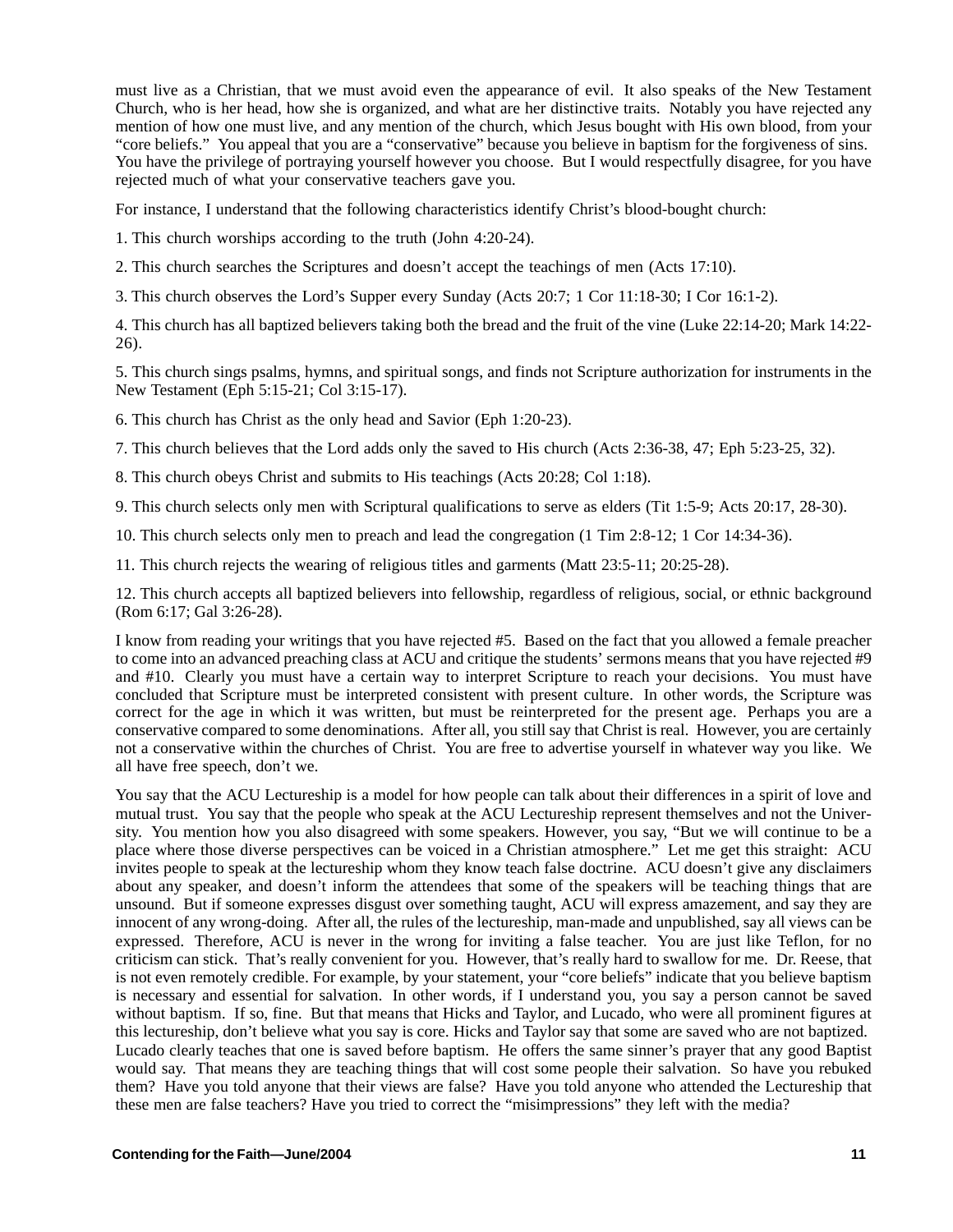must live as a Christian, that we must avoid even the appearance of evil. It also speaks of the New Testament Church, who is her head, how she is organized, and what are her distinctive traits. Notably you have rejected any mention of how one must live, and any mention of the church, which Jesus bought with His own blood, from your "core beliefs." You appeal that you are a "conservative" because you believe in baptism for the forgiveness of sins. You have the privilege of portraying yourself however you choose. But I would respectfully disagree, for you have rejected much of what your conservative teachers gave you.

For instance, I understand that the following characteristics identify Christ's blood-bought church:

1. This church worships according to the truth (John 4:20-24).

2. This church searches the Scriptures and doesn't accept the teachings of men (Acts 17:10).

3. This church observes the Lord's Supper every Sunday (Acts 20:7; 1 Cor 11:18-30; I Cor 16:1-2).

4. This church has all baptized believers taking both the bread and the fruit of the vine (Luke 22:14-20; Mark 14:22- 26).

5. This church sings psalms, hymns, and spiritual songs, and finds not Scripture authorization for instruments in the New Testament (Eph 5:15-21; Col 3:15-17).

6. This church has Christ as the only head and Savior (Eph 1:20-23).

7. This church believes that the Lord adds only the saved to His church (Acts 2:36-38, 47; Eph 5:23-25, 32).

8. This church obeys Christ and submits to His teachings (Acts 20:28; Col 1:18).

9. This church selects only men with Scriptural qualifications to serve as elders (Tit 1:5-9; Acts 20:17, 28-30).

10. This church selects only men to preach and lead the congregation (1 Tim 2:8-12; 1 Cor 14:34-36).

11. This church rejects the wearing of religious titles and garments (Matt 23:5-11; 20:25-28).

12. This church accepts all baptized believers into fellowship, regardless of religious, social, or ethnic background (Rom 6:17; Gal 3:26-28).

I know from reading your writings that you have rejected #5. Based on the fact that you allowed a female preacher to come into an advanced preaching class at ACU and critique the students' sermons means that you have rejected #9 and #10. Clearly you must have a certain way to interpret Scripture to reach your decisions. You must have concluded that Scripture must be interpreted consistent with present culture. In other words, the Scripture was correct for the age in which it was written, but must be reinterpreted for the present age. Perhaps you are a conservative compared to some denominations. After all, you still say that Christ is real. However, you are certainly not a conservative within the churches of Christ. You are free to advertise yourself in whatever way you like. We all have free speech, don't we.

You say that the ACU Lectureship is a model for how people can talk about their differences in a spirit of love and mutual trust. You say that the people who speak at the ACU Lectureship represent themselves and not the University. You mention how you also disagreed with some speakers. However, you say, "But we will continue to be a place where those diverse perspectives can be voiced in a Christian atmosphere." Let me get this straight: ACU invites people to speak at the lectureship whom they know teach false doctrine. ACU doesn't give any disclaimers about any speaker, and doesn't inform the attendees that some of the speakers will be teaching things that are unsound. But if someone expresses disgust over something taught, ACU will express amazement, and say they are innocent of any wrong-doing. After all, the rules of the lectureship, man-made and unpublished, say all views can be expressed. Therefore, ACU is never in the wrong for inviting a false teacher. You are just like Teflon, for no criticism can stick. That's really convenient for you. However, that's really hard to swallow for me. Dr. Reese, that is not even remotely credible. For example, by your statement, your "core beliefs" indicate that you believe baptism is necessary and essential for salvation. In other words, if I understand you, you say a person cannot be saved without baptism. If so, fine. But that means that Hicks and Taylor, and Lucado, who were all prominent figures at this lectureship, don't believe what you say is core. Hicks and Taylor say that some are saved who are not baptized. Lucado clearly teaches that one is saved before baptism. He offers the same sinner's prayer that any good Baptist would say. That means they are teaching things that will cost some people their salvation. So have you rebuked them? Have you told anyone that their views are false? Have you told anyone who attended the Lectureship that these men are false teachers? Have you tried to correct the "misimpressions" they left with the media?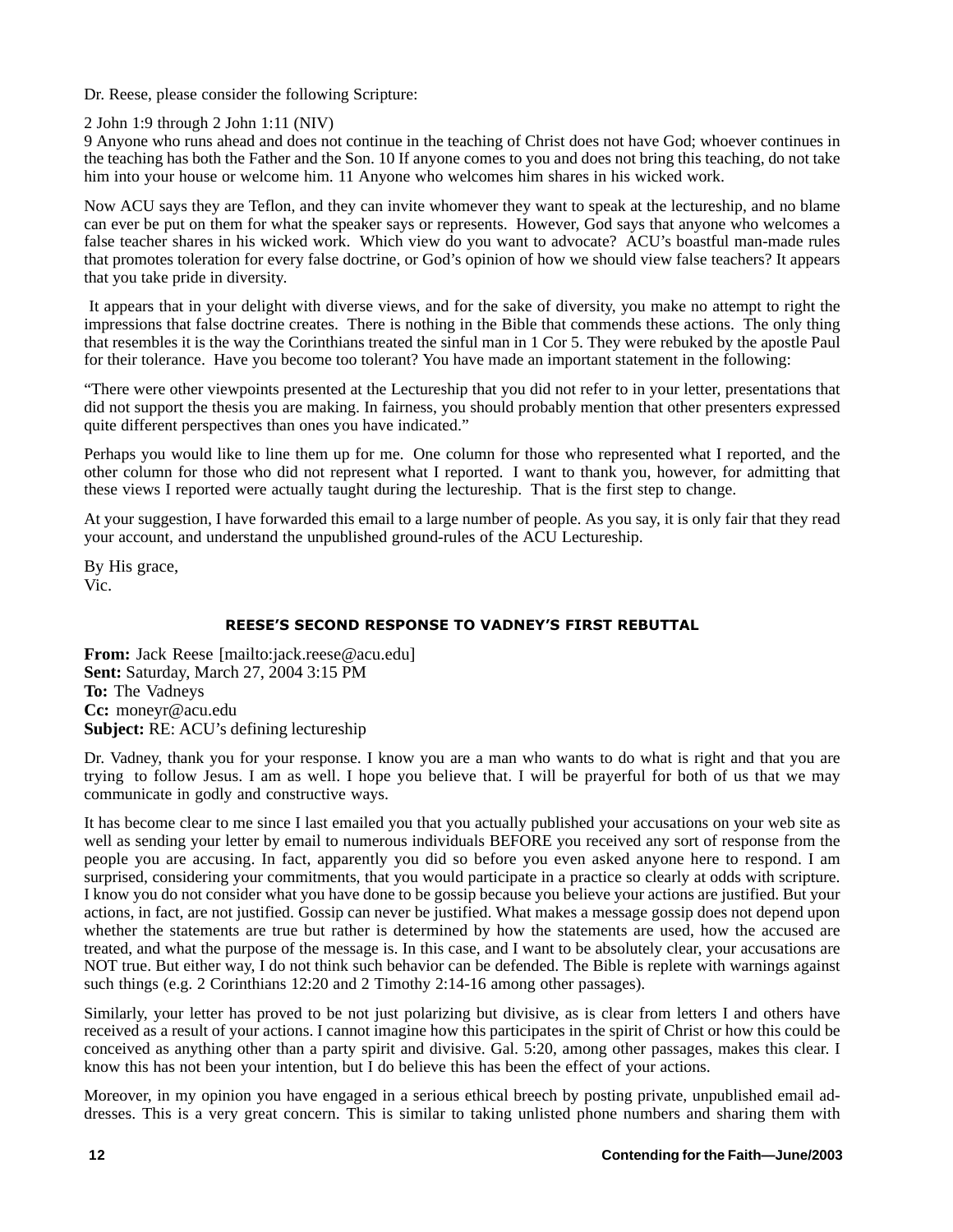Dr. Reese, please consider the following Scripture:

2 John 1:9 through 2 John 1:11 (NIV)

9 Anyone who runs ahead and does not continue in the teaching of Christ does not have God; whoever continues in the teaching has both the Father and the Son. 10 If anyone comes to you and does not bring this teaching, do not take him into your house or welcome him. 11 Anyone who welcomes him shares in his wicked work.

Now ACU says they are Teflon, and they can invite whomever they want to speak at the lectureship, and no blame can ever be put on them for what the speaker says or represents. However, God says that anyone who welcomes a false teacher shares in his wicked work. Which view do you want to advocate? ACU's boastful man-made rules that promotes toleration for every false doctrine, or God's opinion of how we should view false teachers? It appears that you take pride in diversity.

 It appears that in your delight with diverse views, and for the sake of diversity, you make no attempt to right the impressions that false doctrine creates. There is nothing in the Bible that commends these actions. The only thing that resembles it is the way the Corinthians treated the sinful man in 1 Cor 5. They were rebuked by the apostle Paul for their tolerance. Have you become too tolerant? You have made an important statement in the following:

"There were other viewpoints presented at the Lectureship that you did not refer to in your letter, presentations that did not support the thesis you are making. In fairness, you should probably mention that other presenters expressed quite different perspectives than ones you have indicated."

Perhaps you would like to line them up for me. One column for those who represented what I reported, and the other column for those who did not represent what I reported. I want to thank you, however, for admitting that these views I reported were actually taught during the lectureship. That is the first step to change.

At your suggestion, I have forwarded this email to a large number of people. As you say, it is only fair that they read your account, and understand the unpublished ground-rules of the ACU Lectureship.

By His grace, Vic.

## **REESE'S SECOND RESPONSE TO VADNEY'S FIRST REBUTTAL**

 +, , **From:** Jack Reese [mailto:jack.reese@acu.edu] **Sent:** Saturday, March 27, 2004 3:15 PM **To:** The Vadneys **Cc:** moneyr@acu.edu **Subject:** RE: ACU's defining lectureship

Dr. Vadney, thank you for your response. I know you are a man who wants to do what is right and that you are trying to follow Jesus. I am as well. I hope you believe that. I will be prayerful for both of us that we may communicate in godly and constructive ways.

It has become clear to me since I last emailed you that you actually published your accusations on your web site as well as sending your letter by email to numerous individuals BEFORE you received any sort of response from the people you are accusing. In fact, apparently you did so before you even asked anyone here to respond. I am surprised, considering your commitments, that you would participate in a practice so clearly at odds with scripture. I know you do not consider what you have done to be gossip because you believe your actions are justified. But your actions, in fact, are not justified. Gossip can never be justified. What makes a message gossip does not depend upon whether the statements are true but rather is determined by how the statements are used, how the accused are treated, and what the purpose of the message is. In this case, and I want to be absolutely clear, your accusations are NOT true. But either way, I do not think such behavior can be defended. The Bible is replete with warnings against such things (e.g. 2 Corinthians 12:20 and 2 Timothy 2:14-16 among other passages).

Similarly, your letter has proved to be not just polarizing but divisive, as is clear from letters I and others have received as a result of your actions. I cannot imagine how this participates in the spirit of Christ or how this could be conceived as anything other than a party spirit and divisive. Gal. 5:20, among other passages, makes this clear. I know this has not been your intention, but I do believe this has been the effect of your actions.

Moreover, in my opinion you have engaged in a serious ethical breech by posting private, unpublished email addresses. This is a very great concern. This is similar to taking unlisted phone numbers and sharing them with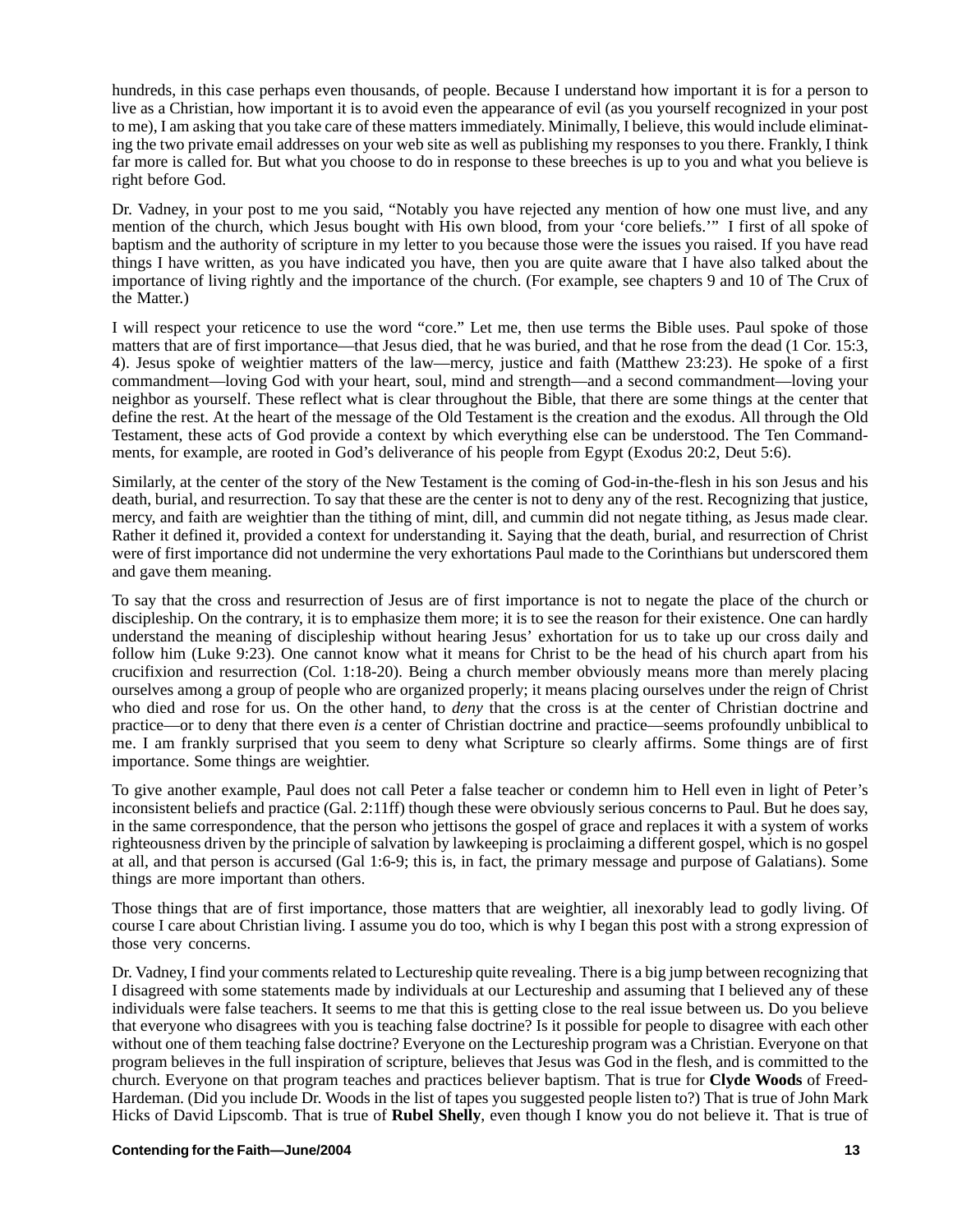hundreds, in this case perhaps even thousands, of people. Because I understand how important it is for a person to live as a Christian, how important it is to avoid even the appearance of evil (as you yourself recognized in your post to me), I am asking that you take care of these matters immediately. Minimally, I believe, this would include eliminating the two private email addresses on your web site as well as publishing my responses to you there. Frankly, I think far more is called for. But what you choose to do in response to these breeches is up to you and what you believe is right before God.

Dr. Vadney, in your post to me you said, "Notably you have rejected any mention of how one must live, and any mention of the church, which Jesus bought with His own blood, from your 'core beliefs.'" I first of all spoke of baptism and the authority of scripture in my letter to you because those were the issues you raised. If you have read things I have written, as you have indicated you have, then you are quite aware that I have also talked about the importance of living rightly and the importance of the church. (For example, see chapters 9 and 10 of The Crux of the Matter.)

I will respect your reticence to use the word "core." Let me, then use terms the Bible uses. Paul spoke of those matters that are of first importance—that Jesus died, that he was buried, and that he rose from the dead (1 Cor. 15:3, 4). Jesus spoke of weightier matters of the law—mercy, justice and faith (Matthew 23:23). He spoke of a first commandment—loving God with your heart, soul, mind and strength—and a second commandment—loving your neighbor as yourself. These reflect what is clear throughout the Bible, that there are some things at the center that define the rest. At the heart of the message of the Old Testament is the creation and the exodus. All through the Old Testament, these acts of God provide a context by which everything else can be understood. The Ten Commandments, for example, are rooted in God's deliverance of his people from Egypt (Exodus 20:2, Deut 5:6).

Similarly, at the center of the story of the New Testament is the coming of God-in-the-flesh in his son Jesus and his death, burial, and resurrection. To say that these are the center is not to deny any of the rest. Recognizing that justice, mercy, and faith are weightier than the tithing of mint, dill, and cummin did not negate tithing, as Jesus made clear. Rather it defined it, provided a context for understanding it. Saying that the death, burial, and resurrection of Christ were of first importance did not undermine the very exhortations Paul made to the Corinthians but underscored them and gave them meaning.

To say that the cross and resurrection of Jesus are of first importance is not to negate the place of the church or discipleship. On the contrary, it is to emphasize them more; it is to see the reason for their existence. One can hardly understand the meaning of discipleship without hearing Jesus' exhortation for us to take up our cross daily and follow him (Luke 9:23). One cannot know what it means for Christ to be the head of his church apart from his crucifixion and resurrection (Col. 1:18-20). Being a church member obviously means more than merely placing ourselves among a group of people who are organized properly; it means placing ourselves under the reign of Christ who died and rose for us. On the other hand, to *deny* that the cross is at the center of Christian doctrine and practice—or to deny that there even *is* a center of Christian doctrine and practice—seems profoundly unbiblical to me. I am frankly surprised that you seem to deny what Scripture so clearly affirms. Some things are of first importance. Some things are weightier.

To give another example, Paul does not call Peter a false teacher or condemn him to Hell even in light of Peter's inconsistent beliefs and practice (Gal. 2:11ff) though these were obviously serious concerns to Paul. But he does say, in the same correspondence, that the person who jettisons the gospel of grace and replaces it with a system of works righteousness driven by the principle of salvation by lawkeeping is proclaiming a different gospel, which is no gospel at all, and that person is accursed (Gal 1:6-9; this is, in fact, the primary message and purpose of Galatians). Some things are more important than others.

Those things that are of first importance, those matters that are weightier, all inexorably lead to godly living. Of course I care about Christian living. I assume you do too, which is why I began this post with a strong expression of those very concerns.

Dr. Vadney, I find your comments related to Lectureship quite revealing. There is a big jump between recognizing that I disagreed with some statements made by individuals at our Lectureship and assuming that I believed any of these individuals were false teachers. It seems to me that this is getting close to the real issue between us. Do you believe that everyone who disagrees with you is teaching false doctrine? Is it possible for people to disagree with each other without one of them teaching false doctrine? Everyone on the Lectureship program was a Christian. Everyone on that program believes in the full inspiration of scripture, believes that Jesus was God in the flesh, and is committed to the church. Everyone on that program teaches and practices believer baptism. That is true for **Clyde Woods** of Freed-Hardeman. (Did you include Dr. Woods in the list of tapes you suggested people listen to?) That is true of John Mark Hicks of David Lipscomb. That is true of **Rubel Shelly**, even though I know you do not believe it. That is true of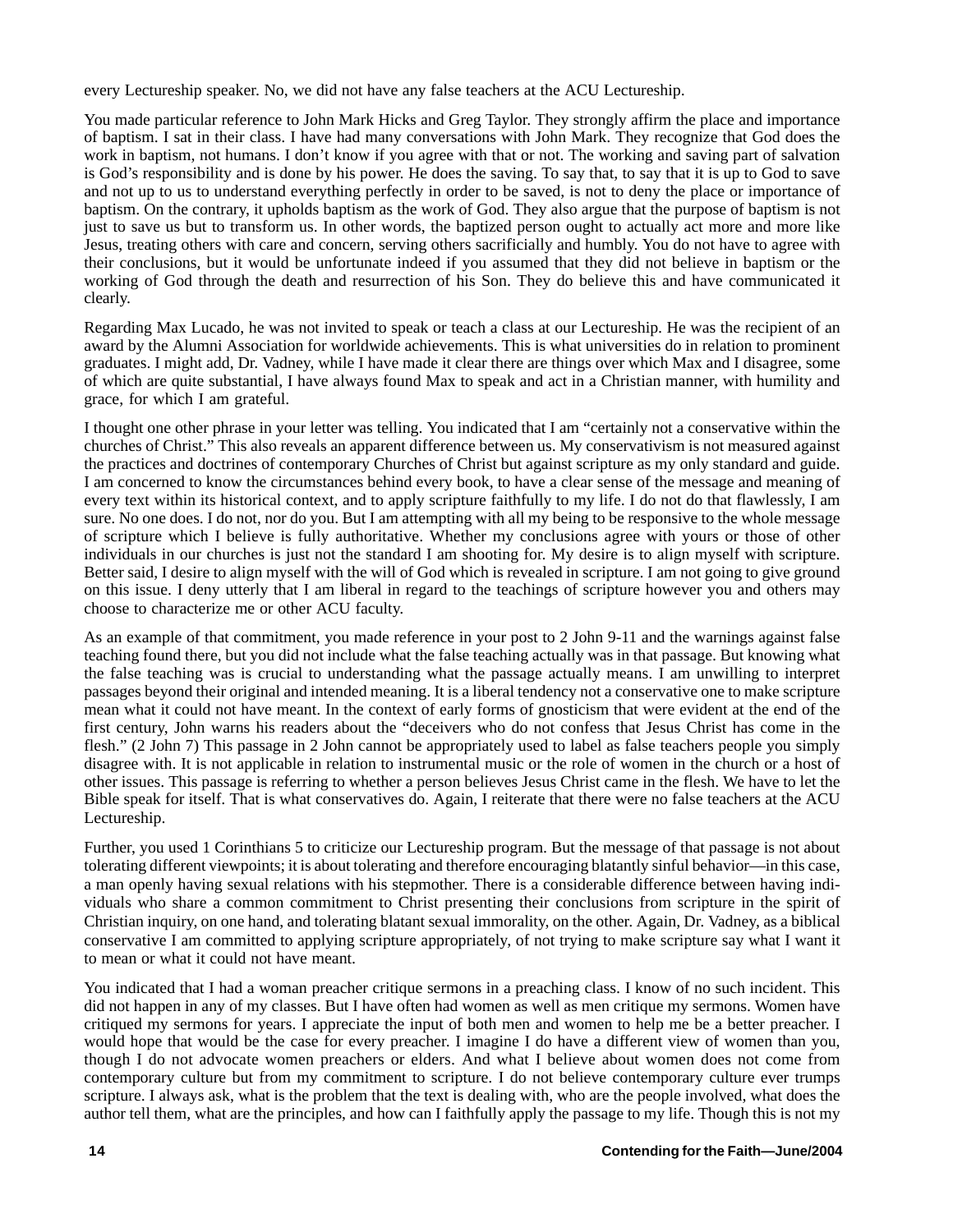every Lectureship speaker. No, we did not have any false teachers at the ACU Lectureship.

You made particular reference to John Mark Hicks and Greg Taylor. They strongly affirm the place and importance of baptism. I sat in their class. I have had many conversations with John Mark. They recognize that God does the work in baptism, not humans. I don't know if you agree with that or not. The working and saving part of salvation is God's responsibility and is done by his power. He does the saving. To say that, to say that it is up to God to save and not up to us to understand everything perfectly in order to be saved, is not to deny the place or importance of baptism. On the contrary, it upholds baptism as the work of God. They also argue that the purpose of baptism is not just to save us but to transform us. In other words, the baptized person ought to actually act more and more like Jesus, treating others with care and concern, serving others sacrificially and humbly. You do not have to agree with their conclusions, but it would be unfortunate indeed if you assumed that they did not believe in baptism or the working of God through the death and resurrection of his Son. They do believe this and have communicated it clearly.

Regarding Max Lucado, he was not invited to speak or teach a class at our Lectureship. He was the recipient of an award by the Alumni Association for worldwide achievements. This is what universities do in relation to prominent graduates. I might add, Dr. Vadney, while I have made it clear there are things over which Max and I disagree, some of which are quite substantial, I have always found Max to speak and act in a Christian manner, with humility and grace, for which I am grateful.

I thought one other phrase in your letter was telling. You indicated that I am "certainly not a conservative within the churches of Christ." This also reveals an apparent difference between us. My conservativism is not measured against the practices and doctrines of contemporary Churches of Christ but against scripture as my only standard and guide. I am concerned to know the circumstances behind every book, to have a clear sense of the message and meaning of every text within its historical context, and to apply scripture faithfully to my life. I do not do that flawlessly, I am sure. No one does. I do not, nor do you. But I am attempting with all my being to be responsive to the whole message of scripture which I believe is fully authoritative. Whether my conclusions agree with yours or those of other individuals in our churches is just not the standard I am shooting for. My desire is to align myself with scripture. Better said, I desire to align myself with the will of God which is revealed in scripture. I am not going to give ground on this issue. I deny utterly that I am liberal in regard to the teachings of scripture however you and others may choose to characterize me or other ACU faculty.

As an example of that commitment, you made reference in your post to 2 John 9-11 and the warnings against false teaching found there, but you did not include what the false teaching actually was in that passage. But knowing what the false teaching was is crucial to understanding what the passage actually means. I am unwilling to interpret passages beyond their original and intended meaning. It is a liberal tendency not a conservative one to make scripture mean what it could not have meant. In the context of early forms of gnosticism that were evident at the end of the first century, John warns his readers about the "deceivers who do not confess that Jesus Christ has come in the flesh." (2 John 7) This passage in 2 John cannot be appropriately used to label as false teachers people you simply disagree with. It is not applicable in relation to instrumental music or the role of women in the church or a host of other issues. This passage is referring to whether a person believes Jesus Christ came in the flesh. We have to let the Bible speak for itself. That is what conservatives do. Again, I reiterate that there were no false teachers at the ACU Lectureship.

Further, you used 1 Corinthians 5 to criticize our Lectureship program. But the message of that passage is not about tolerating different viewpoints; it is about tolerating and therefore encouraging blatantly sinful behavior—in this case, a man openly having sexual relations with his stepmother. There is a considerable difference between having individuals who share a common commitment to Christ presenting their conclusions from scripture in the spirit of Christian inquiry, on one hand, and tolerating blatant sexual immorality, on the other. Again, Dr. Vadney, as a biblical conservative I am committed to applying scripture appropriately, of not trying to make scripture say what I want it to mean or what it could not have meant.

You indicated that I had a woman preacher critique sermons in a preaching class. I know of no such incident. This did not happen in any of my classes. But I have often had women as well as men critique my sermons. Women have critiqued my sermons for years. I appreciate the input of both men and women to help me be a better preacher. I would hope that would be the case for every preacher. I imagine I do have a different view of women than you, though I do not advocate women preachers or elders. And what I believe about women does not come from contemporary culture but from my commitment to scripture. I do not believe contemporary culture ever trumps scripture. I always ask, what is the problem that the text is dealing with, who are the people involved, what does the author tell them, what are the principles, and how can I faithfully apply the passage to my life. Though this is not my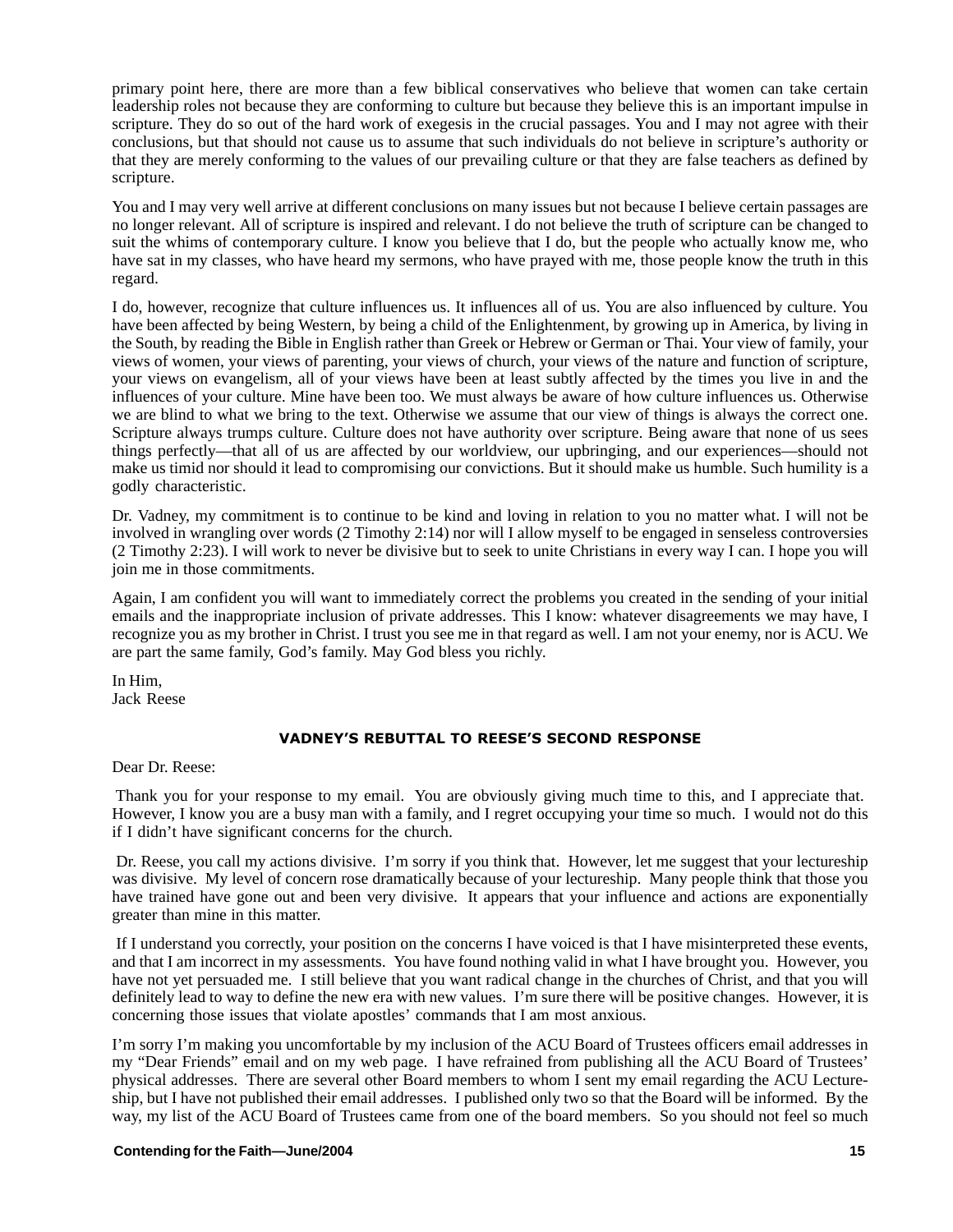primary point here, there are more than a few biblical conservatives who believe that women can take certain leadership roles not because they are conforming to culture but because they believe this is an important impulse in scripture. They do so out of the hard work of exegesis in the crucial passages. You and I may not agree with their conclusions, but that should not cause us to assume that such individuals do not believe in scripture's authority or that they are merely conforming to the values of our prevailing culture or that they are false teachers as defined by scripture.

You and I may very well arrive at different conclusions on many issues but not because I believe certain passages are no longer relevant. All of scripture is inspired and relevant. I do not believe the truth of scripture can be changed to suit the whims of contemporary culture. I know you believe that I do, but the people who actually know me, who have sat in my classes, who have heard my sermons, who have prayed with me, those people know the truth in this regard.

I do, however, recognize that culture influences us. It influences all of us. You are also influenced by culture. You have been affected by being Western, by being a child of the Enlightenment, by growing up in America, by living in the South, by reading the Bible in English rather than Greek or Hebrew or German or Thai. Your view of family, your views of women, your views of parenting, your views of church, your views of the nature and function of scripture, your views on evangelism, all of your views have been at least subtly affected by the times you live in and the influences of your culture. Mine have been too. We must always be aware of how culture influences us. Otherwise we are blind to what we bring to the text. Otherwise we assume that our view of things is always the correct one. Scripture always trumps culture. Culture does not have authority over scripture. Being aware that none of us sees things perfectly—that all of us are affected by our worldview, our upbringing, and our experiences—should not make us timid nor should it lead to compromising our convictions. But it should make us humble. Such humility is a godly characteristic.

Dr. Vadney, my commitment is to continue to be kind and loving in relation to you no matter what. I will not be involved in wrangling over words (2 Timothy 2:14) nor will I allow myself to be engaged in senseless controversies (2 Timothy 2:23). I will work to never be divisive but to seek to unite Christians in every way I can. I hope you will join me in those commitments.

Again, I am confident you will want to immediately correct the problems you created in the sending of your initial emails and the inappropriate inclusion of private addresses. This I know: whatever disagreements we may have, I recognize you as my brother in Christ. I trust you see me in that regard as well. I am not your enemy, nor is ACU. We are part the same family, God's family. May God bless you richly.

In Him, Jack Reese

Dear Dr. Reese:

 Thank you for your response to my email. You are obviously giving much time to this, and I appreciate that. However, I know you are a busy man with a family, and I regret occupying your time so much. I would not do this if I didn't have significant concerns for the church.

 Dr. Reese, you call my actions divisive. I'm sorry if you think that. However, let me suggest that your lectureship was divisive. My level of concern rose dramatically because of your lectureship. Many people think that those you have trained have gone out and been very divisive. It appears that your influence and actions are exponentially greater than mine in this matter.

 If I understand you correctly, your position on the concerns I have voiced is that I have misinterpreted these events, and that I am incorrect in my assessments. You have found nothing valid in what I have brought you. However, you have not yet persuaded me. I still believe that you want radical change in the churches of Christ, and that you will definitely lead to way to define the new era with new values. I'm sure there will be positive changes. However, it is concerning those issues that violate apostles' commands that I am most anxious.

I'm sorry I'm making you uncomfortable by my inclusion of the ACU Board of Trustees officers email addresses in my "Dear Friends" email and on my web page. I have refrained from publishing all the ACU Board of Trustees' physical addresses. There are several other Board members to whom I sent my email regarding the ACU Lectureship, but I have not published their email addresses. I published only two so that the Board will be informed. By the way, my list of the ACU Board of Trustees came from one of the board members. So you should not feel so much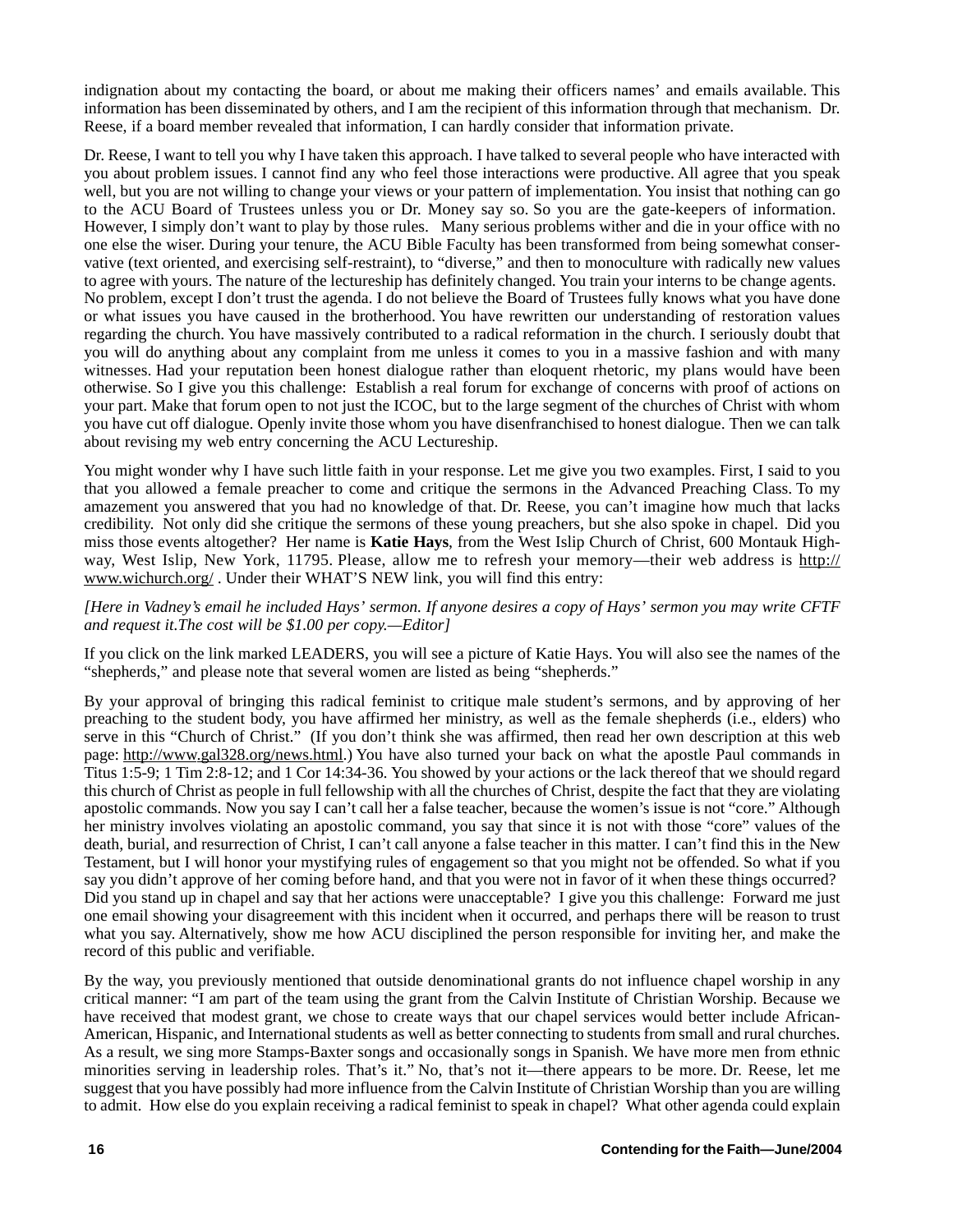indignation about my contacting the board, or about me making their officers names' and emails available. This information has been disseminated by others, and I am the recipient of this information through that mechanism. Dr. Reese, if a board member revealed that information, I can hardly consider that information private.

Dr. Reese, I want to tell you why I have taken this approach. I have talked to several people who have interacted with you about problem issues. I cannot find any who feel those interactions were productive. All agree that you speak well, but you are not willing to change your views or your pattern of implementation. You insist that nothing can go to the ACU Board of Trustees unless you or Dr. Money say so. So you are the gate-keepers of information. However, I simply don't want to play by those rules. Many serious problems wither and die in your office with no one else the wiser. During your tenure, the ACU Bible Faculty has been transformed from being somewhat conservative (text oriented, and exercising self-restraint), to "diverse," and then to monoculture with radically new values to agree with yours. The nature of the lectureship has definitely changed. You train your interns to be change agents. No problem, except I don't trust the agenda. I do not believe the Board of Trustees fully knows what you have done or what issues you have caused in the brotherhood. You have rewritten our understanding of restoration values regarding the church. You have massively contributed to a radical reformation in the church. I seriously doubt that you will do anything about any complaint from me unless it comes to you in a massive fashion and with many witnesses. Had your reputation been honest dialogue rather than eloquent rhetoric, my plans would have been otherwise. So I give you this challenge: Establish a real forum for exchange of concerns with proof of actions on your part. Make that forum open to not just the ICOC, but to the large segment of the churches of Christ with whom you have cut off dialogue. Openly invite those whom you have disenfranchised to honest dialogue. Then we can talk about revising my web entry concerning the ACU Lectureship.

You might wonder why I have such little faith in your response. Let me give you two examples. First, I said to you that you allowed a female preacher to come and critique the sermons in the Advanced Preaching Class. To my amazement you answered that you had no knowledge of that. Dr. Reese, you can't imagine how much that lacks credibility. Not only did she critique the sermons of these young preachers, but she also spoke in chapel. Did you miss those events altogether? Her name is **Katie Hays**, from the West Islip Church of Christ, 600 Montauk Highway, West Islip, New York, 11795. Please, allow me to refresh your memory—their web address is http:// www.wichurch.org/ . Under their WHAT'S NEW link, you will find this entry:

## *[Here in Vadney's email he included Hays' sermon. If anyone desires a copy of Hays' sermon you may write CFTF and request it.The cost will be \$1.00 per copy.—Editor]*

If you click on the link marked LEADERS, you will see a picture of Katie Hays. You will also see the names of the "shepherds," and please note that several women are listed as being "shepherds."

By your approval of bringing this radical feminist to critique male student's sermons, and by approving of her preaching to the student body, you have affirmed her ministry, as well as the female shepherds (i.e., elders) who serve in this "Church of Christ." (If you don't think she was affirmed, then read her own description at this web page: http://www.gal328.org/news.html.) You have also turned your back on what the apostle Paul commands in Titus 1:5-9; 1 Tim 2:8-12; and 1 Cor 14:34-36. You showed by your actions or the lack thereof that we should regard this church of Christ as people in full fellowship with all the churches of Christ, despite the fact that they are violating apostolic commands. Now you say I can't call her a false teacher, because the women's issue is not "core." Although her ministry involves violating an apostolic command, you say that since it is not with those "core" values of the death, burial, and resurrection of Christ, I can't call anyone a false teacher in this matter. I can't find this in the New Testament, but I will honor your mystifying rules of engagement so that you might not be offended. So what if you say you didn't approve of her coming before hand, and that you were not in favor of it when these things occurred? Did you stand up in chapel and say that her actions were unacceptable? I give you this challenge: Forward me just one email showing your disagreement with this incident when it occurred, and perhaps there will be reason to trust what you say. Alternatively, show me how ACU disciplined the person responsible for inviting her, and make the record of this public and verifiable.

By the way, you previously mentioned that outside denominational grants do not influence chapel worship in any critical manner: "I am part of the team using the grant from the Calvin Institute of Christian Worship. Because we have received that modest grant, we chose to create ways that our chapel services would better include African-American, Hispanic, and International students as well as better connecting to students from small and rural churches. As a result, we sing more Stamps-Baxter songs and occasionally songs in Spanish. We have more men from ethnic minorities serving in leadership roles. That's it." No, that's not it—there appears to be more. Dr. Reese, let me suggest that you have possibly had more influence from the Calvin Institute of Christian Worship than you are willing to admit. How else do you explain receiving a radical feminist to speak in chapel? What other agenda could explain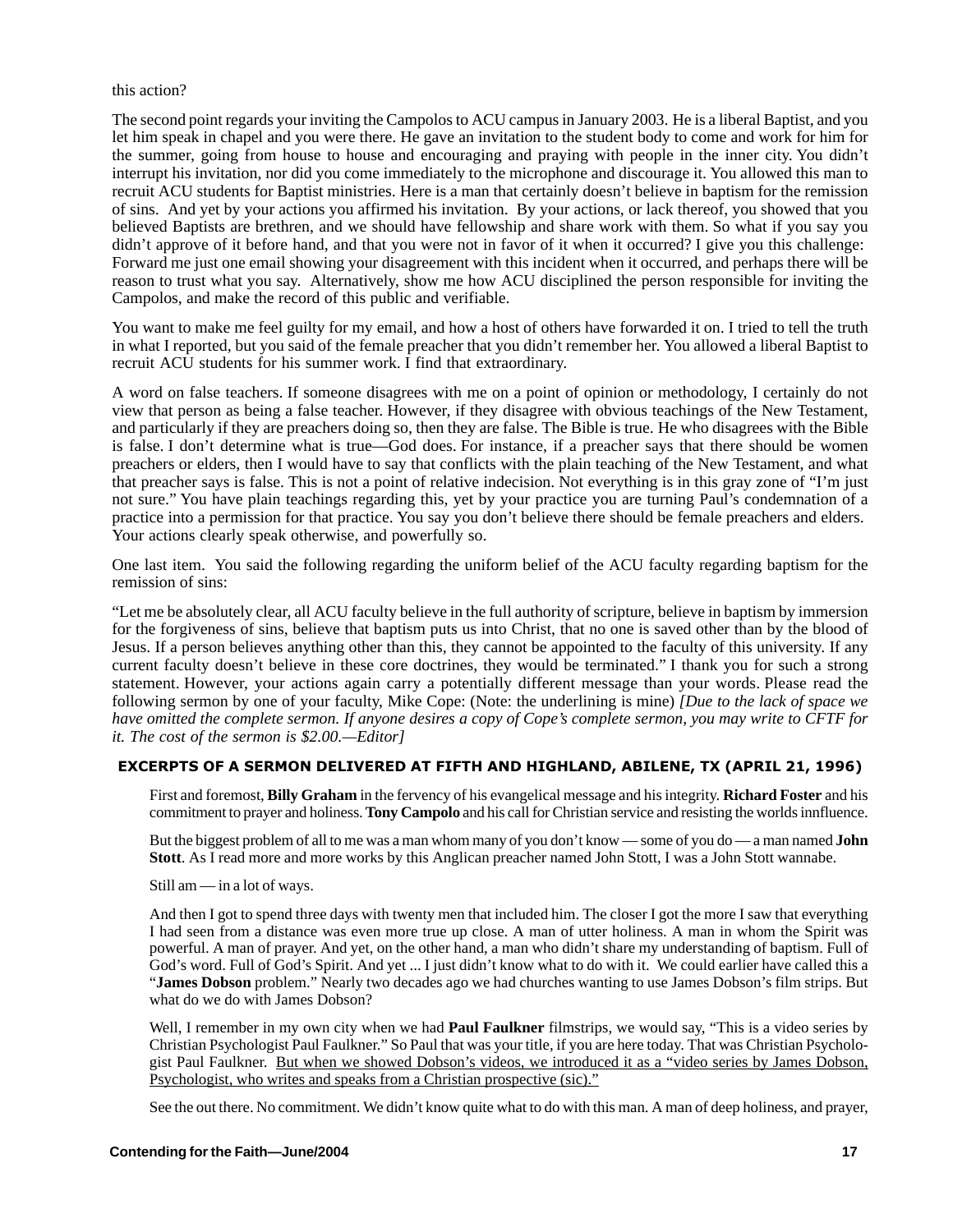## this action?

The second point regards your inviting the Campolos to ACU campus in January 2003. He is a liberal Baptist, and you let him speak in chapel and you were there. He gave an invitation to the student body to come and work for him for the summer, going from house to house and encouraging and praying with people in the inner city. You didn't interrupt his invitation, nor did you come immediately to the microphone and discourage it. You allowed this man to recruit ACU students for Baptist ministries. Here is a man that certainly doesn't believe in baptism for the remission of sins. And yet by your actions you affirmed his invitation. By your actions, or lack thereof, you showed that you believed Baptists are brethren, and we should have fellowship and share work with them. So what if you say you didn't approve of it before hand, and that you were not in favor of it when it occurred? I give you this challenge: Forward me just one email showing your disagreement with this incident when it occurred, and perhaps there will be reason to trust what you say. Alternatively, show me how ACU disciplined the person responsible for inviting the Campolos, and make the record of this public and verifiable.

You want to make me feel guilty for my email, and how a host of others have forwarded it on. I tried to tell the truth in what I reported, but you said of the female preacher that you didn't remember her. You allowed a liberal Baptist to recruit ACU students for his summer work. I find that extraordinary.

A word on false teachers. If someone disagrees with me on a point of opinion or methodology, I certainly do not view that person as being a false teacher. However, if they disagree with obvious teachings of the New Testament, and particularly if they are preachers doing so, then they are false. The Bible is true. He who disagrees with the Bible is false. I don't determine what is true—God does. For instance, if a preacher says that there should be women preachers or elders, then I would have to say that conflicts with the plain teaching of the New Testament, and what that preacher says is false. This is not a point of relative indecision. Not everything is in this gray zone of "I'm just not sure." You have plain teachings regarding this, yet by your practice you are turning Paul's condemnation of a practice into a permission for that practice. You say you don't believe there should be female preachers and elders. Your actions clearly speak otherwise, and powerfully so.

One last item. You said the following regarding the uniform belief of the ACU faculty regarding baptism for the remission of sins:

"Let me be absolutely clear, all ACU faculty believe in the full authority of scripture, believe in baptism by immersion for the forgiveness of sins, believe that baptism puts us into Christ, that no one is saved other than by the blood of Jesus. If a person believes anything other than this, they cannot be appointed to the faculty of this university. If any current faculty doesn't believe in these core doctrines, they would be terminated." I thank you for such a strong statement. However, your actions again carry a potentially different message than your words. Please read the following sermon by one of your faculty, Mike Cope: (Note: the underlining is mine) *[Due to the lack of space we have omitted the complete sermon. If anyone desires a copy of Cope's complete sermon, you may write to CFTF for it. The cost of the sermon is \$2.00.—Editor]*

First and foremost, **Billy Graham** in the fervency of his evangelical message and his integrity. **Richard Foster** and his commitment to prayer and holiness. **Tony Campolo** and his call for Christian service and resisting the worlds innfluence.

But the biggest problem of all to me was a man whom many of you don't know — some of you do — a man named **John Stott**. As I read more and more works by this Anglican preacher named John Stott, I was a John Stott wannabe.

Still am — in a lot of ways.

And then I got to spend three days with twenty men that included him. The closer I got the more I saw that everything I had seen from a distance was even more true up close. A man of utter holiness. A man in whom the Spirit was powerful. A man of prayer. And yet, on the other hand, a man who didn't share my understanding of baptism. Full of God's word. Full of God's Spirit. And yet ... I just didn't know what to do with it. We could earlier have called this a "**James Dobson** problem." Nearly two decades ago we had churches wanting to use James Dobson's film strips. But what do we do with James Dobson?

Well, I remember in my own city when we had **Paul Faulkner** filmstrips, we would say, "This is a video series by Christian Psychologist Paul Faulkner." So Paul that was your title, if you are here today. That was Christian Psychologist Paul Faulkner. But when we showed Dobson's videos, we introduced it as a "video series by James Dobson, Psychologist, who writes and speaks from a Christian prospective (sic)."

See the out there. No commitment. We didn't know quite what to do with this man. A man of deep holiness, and prayer,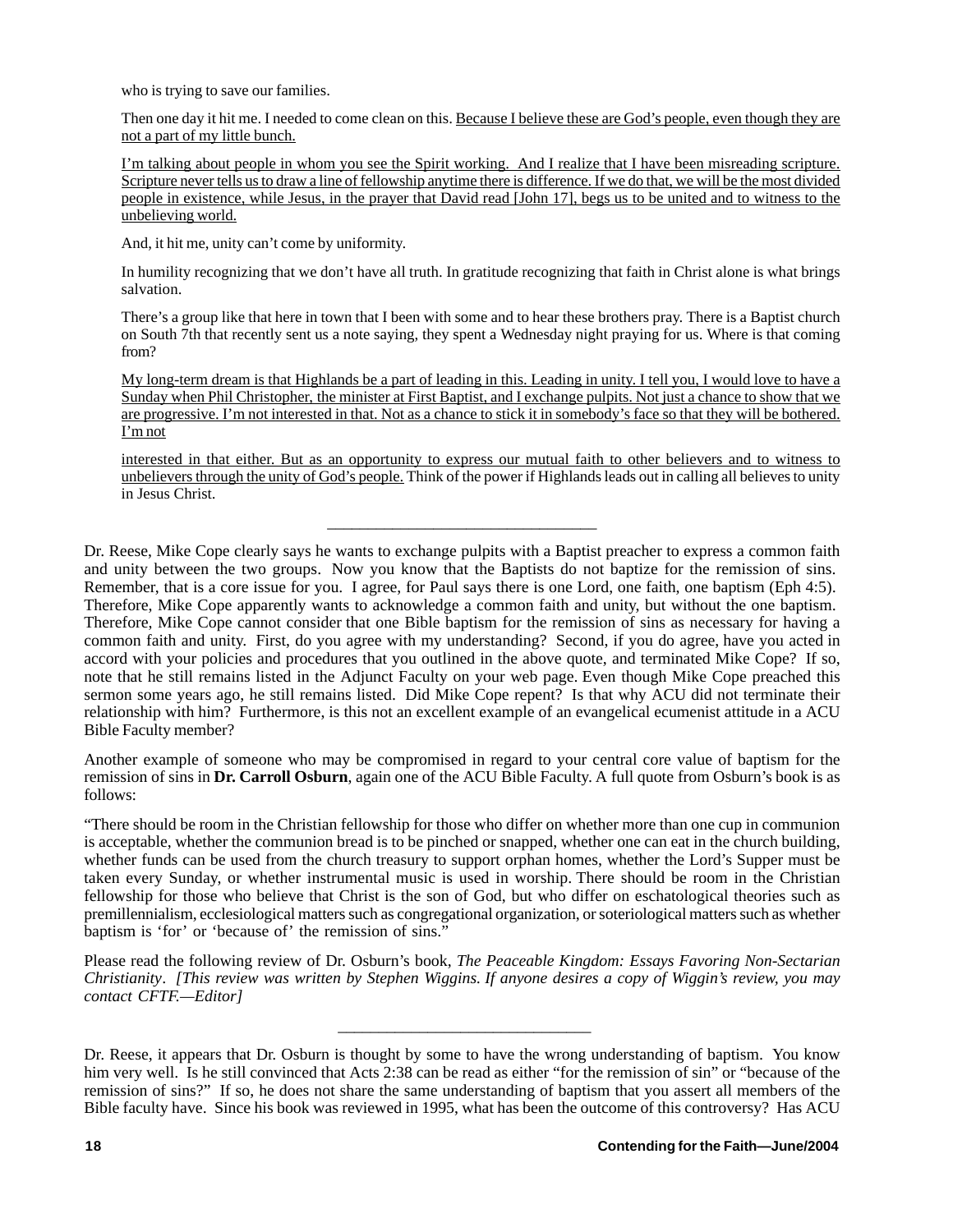who is trying to save our families.

Then one day it hit me. I needed to come clean on this. Because I believe these are God's people, even though they are not a part of my little bunch.

I'm talking about people in whom you see the Spirit working. And I realize that I have been misreading scripture. Scripture never tells us to draw a line of fellowship anytime there is difference. If we do that, we will be the most divided people in existence, while Jesus, in the prayer that David read [John 17], begs us to be united and to witness to the unbelieving world.

And, it hit me, unity can't come by uniformity.

In humility recognizing that we don't have all truth. In gratitude recognizing that faith in Christ alone is what brings salvation.

There's a group like that here in town that I been with some and to hear these brothers pray. There is a Baptist church on South 7th that recently sent us a note saying, they spent a Wednesday night praying for us. Where is that coming from?

My long-term dream is that Highlands be a part of leading in this. Leading in unity. I tell you, I would love to have a Sunday when Phil Christopher, the minister at First Baptist, and I exchange pulpits. Not just a chance to show that we are progressive. I'm not interested in that. Not as a chance to stick it in somebody's face so that they will be bothered. I'm not

interested in that either. But as an opportunity to express our mutual faith to other believers and to witness to unbelievers through the unity of God's people. Think of the power if Highlands leads out in calling all believes to unity in Jesus Christ.

Dr. Reese, Mike Cope clearly says he wants to exchange pulpits with a Baptist preacher to express a common faith and unity between the two groups. Now you know that the Baptists do not baptize for the remission of sins. Remember, that is a core issue for you. I agree, for Paul says there is one Lord, one faith, one baptism (Eph 4:5). Therefore, Mike Cope apparently wants to acknowledge a common faith and unity, but without the one baptism. Therefore, Mike Cope cannot consider that one Bible baptism for the remission of sins as necessary for having a common faith and unity. First, do you agree with my understanding? Second, if you do agree, have you acted in accord with your policies and procedures that you outlined in the above quote, and terminated Mike Cope? If so, note that he still remains listed in the Adjunct Faculty on your web page. Even though Mike Cope preached this sermon some years ago, he still remains listed. Did Mike Cope repent? Is that why ACU did not terminate their relationship with him? Furthermore, is this not an excellent example of an evangelical ecumenist attitude in a ACU Bible Faculty member?

\_\_\_\_\_\_\_\_\_\_\_\_\_\_\_\_\_\_\_\_\_\_\_\_\_\_\_\_\_\_\_\_\_

Another example of someone who may be compromised in regard to your central core value of baptism for the remission of sins in **Dr. Carroll Osburn**, again one of the ACU Bible Faculty. A full quote from Osburn's book is as follows:

"There should be room in the Christian fellowship for those who differ on whether more than one cup in communion is acceptable, whether the communion bread is to be pinched or snapped, whether one can eat in the church building, whether funds can be used from the church treasury to support orphan homes, whether the Lord's Supper must be taken every Sunday, or whether instrumental music is used in worship. There should be room in the Christian fellowship for those who believe that Christ is the son of God, but who differ on eschatological theories such as premillennialism, ecclesiological matters such as congregational organization, or soteriological matters such as whether baptism is 'for' or 'because of' the remission of sins."

Please read the following review of Dr. Osburn's book, *The Peaceable Kingdom: Essays Favoring Non-Sectarian Christianity*. *[This review was written by Stephen Wiggins. If anyone desires a copy of Wiggin's review, you may contact CFTF.—Editor]*

 $\overline{\phantom{a}}$  , where the contract of the contract of the contract of the contract of the contract of the contract of the contract of the contract of the contract of the contract of the contract of the contract of the contr

Dr. Reese, it appears that Dr. Osburn is thought by some to have the wrong understanding of baptism. You know him very well. Is he still convinced that Acts 2:38 can be read as either "for the remission of sin" or "because of the remission of sins?" If so, he does not share the same understanding of baptism that you assert all members of the Bible faculty have. Since his book was reviewed in 1995, what has been the outcome of this controversy? Has ACU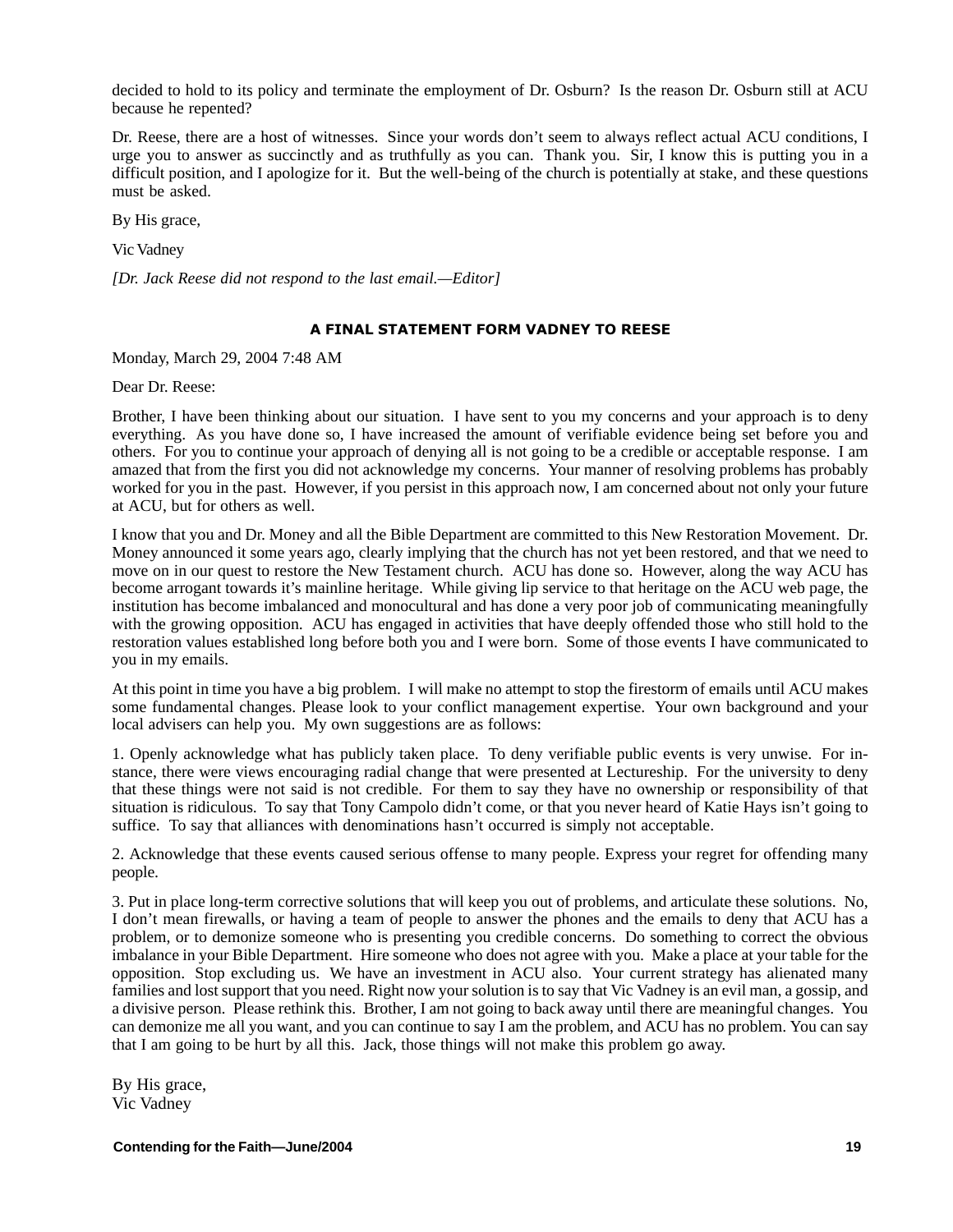decided to hold to its policy and terminate the employment of Dr. Osburn? Is the reason Dr. Osburn still at ACU because he repented?

Dr. Reese, there are a host of witnesses. Since your words don't seem to always reflect actual ACU conditions, I urge you to answer as succinctly and as truthfully as you can. Thank you. Sir, I know this is putting you in a difficult position, and I apologize for it. But the well-being of the church is potentially at stake, and these questions must be asked.

By His grace,

Vic Vadney

*[Dr. Jack Reese did not respond to the last email.—Editor]*

## A FINAL STATEMENT FORM VADNEY TO REESE

1-Monday, March 29, 2004 7:48 AM

Dear Dr. Reese:

Brother, I have been thinking about our situation. I have sent to you my concerns and your approach is to deny everything. As you have done so, I have increased the amount of verifiable evidence being set before you and others. For you to continue your approach of denying all is not going to be a credible or acceptable response. I am amazed that from the first you did not acknowledge my concerns. Your manner of resolving problems has probably worked for you in the past. However, if you persist in this approach now, I am concerned about not only your future at ACU, but for others as well.

I know that you and Dr. Money and all the Bible Department are committed to this New Restoration Movement. Dr. Money announced it some years ago, clearly implying that the church has not yet been restored, and that we need to move on in our quest to restore the New Testament church. ACU has done so. However, along the way ACU has become arrogant towards it's mainline heritage. While giving lip service to that heritage on the ACU web page, the institution has become imbalanced and monocultural and has done a very poor job of communicating meaningfully with the growing opposition. ACU has engaged in activities that have deeply offended those who still hold to the restoration values established long before both you and I were born. Some of those events I have communicated to you in my emails.

At this point in time you have a big problem. I will make no attempt to stop the firestorm of emails until ACU makes some fundamental changes. Please look to your conflict management expertise. Your own background and your local advisers can help you. My own suggestions are as follows:

1. Openly acknowledge what has publicly taken place. To deny verifiable public events is very unwise. For instance, there were views encouraging radial change that were presented at Lectureship. For the university to deny that these things were not said is not credible. For them to say they have no ownership or responsibility of that situation is ridiculous. To say that Tony Campolo didn't come, or that you never heard of Katie Hays isn't going to suffice. To say that alliances with denominations hasn't occurred is simply not acceptable.

2. Acknowledge that these events caused serious offense to many people. Express your regret for offending many people.

3. Put in place long-term corrective solutions that will keep you out of problems, and articulate these solutions. No, I don't mean firewalls, or having a team of people to answer the phones and the emails to deny that ACU has a problem, or to demonize someone who is presenting you credible concerns. Do something to correct the obvious imbalance in your Bible Department. Hire someone who does not agree with you. Make a place at your table for the opposition. Stop excluding us. We have an investment in ACU also. Your current strategy has alienated many families and lost support that you need. Right now your solution is to say that Vic Vadney is an evil man, a gossip, and a divisive person. Please rethink this. Brother, I am not going to back away until there are meaningful changes. You can demonize me all you want, and you can continue to say I am the problem, and ACU has no problem. You can say that I am going to be hurt by all this. Jack, those things will not make this problem go away.

By His grace, Vic Vadney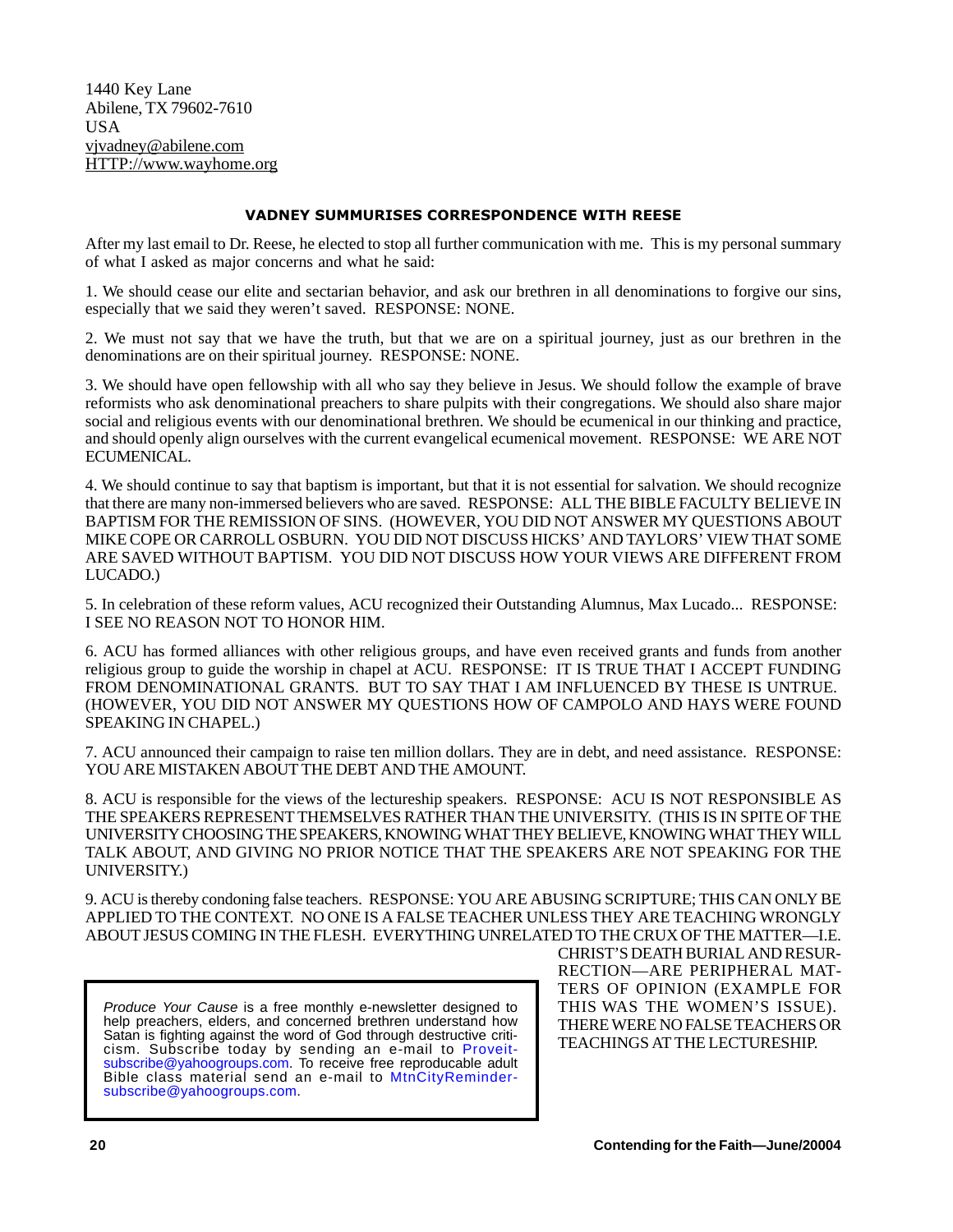1440 Key Lane Abilene, TX 79602-7610 USA vjvadney@abilene.com HTTP://www.wayhome.org

## **VADNEY SUMMURISES CORRESPONDENCE WITH REESE**

ers we can be considered to stop all further communication with me. This is my personal summary<br>After my last email to Dr. Reese, he elected to stop all further communication with me. This is my personal summary of what I asked as major concerns and what he said:

1. We should cease our elite and sectarian behavior, and ask our brethren in all denominations to forgive our sins, especially that we said they weren't saved. RESPONSE: NONE.

2. We must not say that we have the truth, but that we are on a spiritual journey, just as our brethren in the denominations are on their spiritual journey. RESPONSE: NONE.

3. We should have open fellowship with all who say they believe in Jesus. We should follow the example of brave reformists who ask denominational preachers to share pulpits with their congregations. We should also share major social and religious events with our denominational brethren. We should be ecumenical in our thinking and practice, and should openly align ourselves with the current evangelical ecumenical movement. RESPONSE: WE ARE NOT ECUMENICAL.

4. We should continue to say that baptism is important, but that it is not essential for salvation. We should recognize that there are many non-immersed believers who are saved. RESPONSE: ALL THE BIBLE FACULTY BELIEVE IN BAPTISM FOR THE REMISSION OF SINS. (HOWEVER, YOU DID NOT ANSWER MY QUESTIONS ABOUT MIKE COPE OR CARROLL OSBURN. YOU DID NOT DISCUSS HICKS' AND TAYLORS' VIEW THAT SOME ARE SAVED WITHOUT BAPTISM. YOU DID NOT DISCUSS HOW YOUR VIEWS ARE DIFFERENT FROM LUCADO.)

5. In celebration of these reform values, ACU recognized their Outstanding Alumnus, Max Lucado... RESPONSE: I SEE NO REASON NOT TO HONOR HIM.

6. ACU has formed alliances with other religious groups, and have even received grants and funds from another religious group to guide the worship in chapel at ACU. RESPONSE: IT IS TRUE THAT I ACCEPT FUNDING FROM DENOMINATIONAL GRANTS. BUT TO SAY THAT I AM INFLUENCED BY THESE IS UNTRUE. (HOWEVER, YOU DID NOT ANSWER MY QUESTIONS HOW OF CAMPOLO AND HAYS WERE FOUND SPEAKING IN CHAPEL.)

7. ACU announced their campaign to raise ten million dollars. They are in debt, and need assistance. RESPONSE: YOU ARE MISTAKEN ABOUT THE DEBT AND THE AMOUNT.

8. ACU is responsible for the views of the lectureship speakers. RESPONSE: ACU IS NOT RESPONSIBLE AS THE SPEAKERS REPRESENT THEMSELVES RATHER THAN THE UNIVERSITY. (THIS IS IN SPITE OF THE UNIVERSITY CHOOSING THE SPEAKERS, KNOWING WHAT THEY BELIEVE, KNOWING WHAT THEY WILL TALK ABOUT, AND GIVING NO PRIOR NOTICE THAT THE SPEAKERS ARE NOT SPEAKING FOR THE UNIVERSITY.)

9. ACU is thereby condoning false teachers. RESPONSE: YOU ARE ABUSING SCRIPTURE; THIS CAN ONLY BE APPLIED TO THE CONTEXT. NO ONE IS A FALSE TEACHER UNLESS THEY ARE TEACHING WRONGLY ABOUT JESUS COMING IN THE FLESH. EVERYTHING UNRELATED TO THE CRUX OF THE MATTER—I.E.

*Produce Your Cause* is a free monthly e-newsletter designed to help preachers, elders, and concerned brethren understand how Satan is fighting against the word of God through destructive criticism. Subscribe today by sending an e-mail to Proveitsubscribe@yahoogroups.com. To receive free reproducable adult Bible class material send an e-mail to MtnCityRemindersubscribe@yahoogroups.com.

CHRIST'S DEATH BURIAL AND RESUR-RECTION—ARE PERIPHERAL MAT-TERS OF OPINION (EXAMPLE FOR THIS WAS THE WOMEN'S ISSUE). THERE WERE NO FALSE TEACHERS OR TEACHINGS AT THE LECTURESHIP.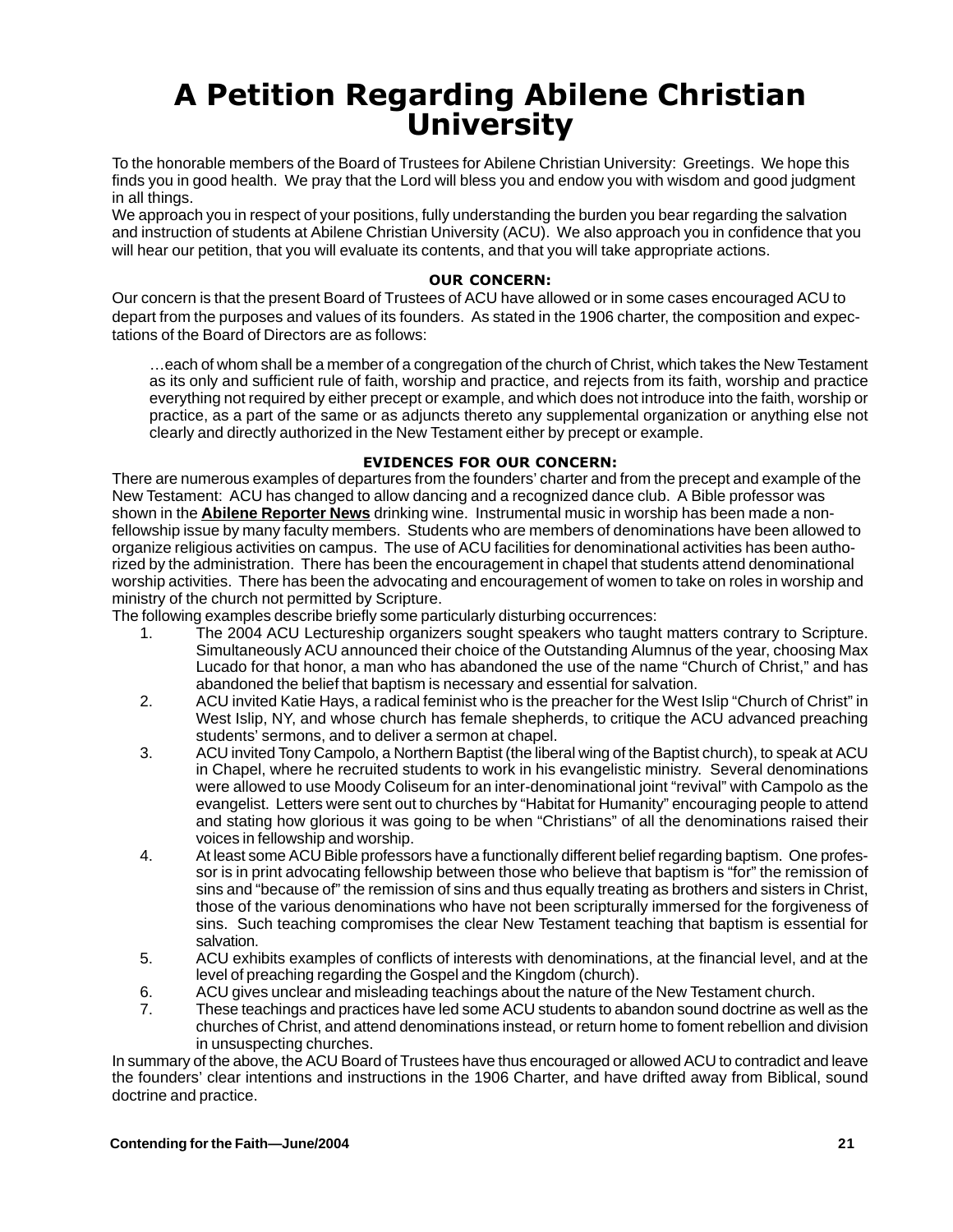## A Petition Regarding Abilene Christian University

To the honorable members of the Board of Trustees for Abilene Christian University: Greetings. We hope this finds you in good health. We pray that the Lord will bless you and endow you with wisdom and good judgment in all things.

We approach you in respect of your positions, fully understanding the burden you bear regarding the salvation and instruction of students at Abilene Christian University (ACU). We also approach you in confidence that you will hear our petition, that you will evaluate its contents, and that you will take appropriate actions.

Our concern is that the present Board of Trustees of ACU have allowed or in some cases encouraged ACU to depart from the purposes and values of its founders. As stated in the 1906 charter, the composition and expectations of the Board of Directors are as follows:

…each of whom shall be a member of a congregation of the church of Christ, which takes the New Testament as its only and sufficient rule of faith, worship and practice, and rejects from its faith, worship and practice everything not required by either precept or example, and which does not introduce into the faith, worship or practice, as a part of the same or as adjuncts thereto any supplemental organization or anything else not clearly and directly authorized in the New Testament either by precept or example.

There are numerous examples of departures from the founders' charter and from the precept and example of the New Testament: ACU has changed to allow dancing and a recognized dance club. A Bible professor was shown in the **Abilene Reporter News** drinking wine. Instrumental music in worship has been made a nonfellowship issue by many faculty members. Students who are members of denominations have been allowed to organize religious activities on campus. The use of ACU facilities for denominational activities has been authorized by the administration. There has been the encouragement in chapel that students attend denominational worship activities. There has been the advocating and encouragement of women to take on roles in worship and ministry of the church not permitted by Scripture.

The following examples describe briefly some particularly disturbing occurrences:<br>1. The 2004 ACU Lectureship organizers sought speakers who taught

- 1. The 2004 ACU Lectureship organizers sought speakers who taught matters contrary to Scripture. Simultaneously ACU announced their choice of the Outstanding Alumnus of the year, choosing Max Lucado for that honor, a man who has abandoned the use of the name "Church of Christ," and has abandoned the belief that baptism is necessary and essential for salvation.
- 2. ACU invited Katie Hays, a radical feminist who is the preacher for the West Islip "Church of Christ" in West Islip, NY, and whose church has female shepherds, to critique the ACU advanced preaching students' sermons, and to deliver a sermon at chapel.
- 3. ACU invited Tony Campolo, a Northern Baptist (the liberal wing of the Baptist church), to speak at ACU in Chapel, where he recruited students to work in his evangelistic ministry. Several denominations were allowed to use Moody Coliseum for an inter-denominational joint "revival" with Campolo as the evangelist. Letters were sent out to churches by "Habitat for Humanity" encouraging people to attend and stating how glorious it was going to be when "Christians" of all the denominations raised their voices in fellowship and worship.
- 4. At least some ACU Bible professors have a functionally different belief regarding baptism. One professor is in print advocating fellowship between those who believe that baptism is "for" the remission of sins and "because of" the remission of sins and thus equally treating as brothers and sisters in Christ, those of the various denominations who have not been scripturally immersed for the forgiveness of sins. Such teaching compromises the clear New Testament teaching that baptism is essential for salvation.
- 5. ACU exhibits examples of conflicts of interests with denominations, at the financial level, and at the level of preaching regarding the Gospel and the Kingdom (church).
- 6. ACU gives unclear and misleading teachings about the nature of the New Testament church.<br>6. These teachings and practices have led some ACU students to abandon sound doctrine as we
- These teachings and practices have led some ACU students to abandon sound doctrine as well as the churches of Christ, and attend denominations instead, or return home to foment rebellion and division in unsuspecting churches.

In summary of the above, the ACU Board of Trustees have thus encouraged or allowed ACU to contradict and leave the founders' clear intentions and instructions in the 1906 Charter, and have drifted away from Biblical, sound doctrine and practice.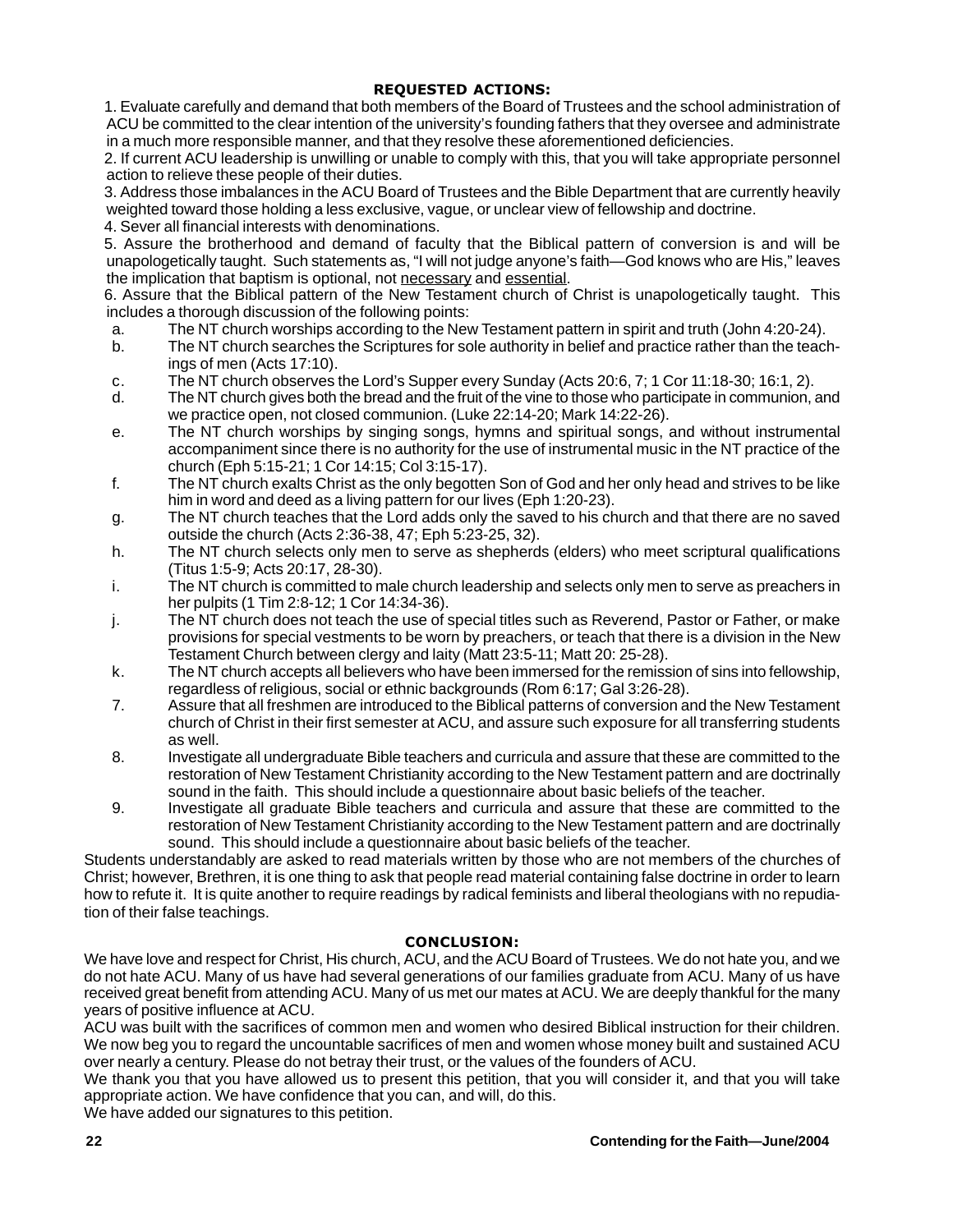1. Evaluate carefully and demand that both members of the Board of Trustees and the school administration of ACU be committed to the clear intention of the university's founding fathers that they oversee and administrate in a much more responsible manner, and that they resolve these aforementioned deficiencies.

2. If current ACU leadership is unwilling or unable to comply with this, that you will take appropriate personnel action to relieve these people of their duties.

3. Address those imbalances in the ACU Board of Trustees and the Bible Department that are currently heavily weighted toward those holding a less exclusive, vague, or unclear view of fellowship and doctrine.

4. Sever all financial interests with denominations.

5. Assure the brotherhood and demand of faculty that the Biblical pattern of conversion is and will be unapologetically taught. Such statements as, "I will not judge anyone's faith—God knows who are His," leaves the implication that baptism is optional, not necessary and essential.

6. Assure that the Biblical pattern of the New Testament church of Christ is unapologetically taught. This includes a thorough discussion of the following points:

- a. The NT church worships according to the New Testament pattern in spirit and truth (John 4:20-24).
- b. The NT church searches the Scriptures for sole authority in belief and practice rather than the teachings of men (Acts 17:10).
- c. The NT church observes the Lord's Supper every Sunday (Acts 20:6, 7; 1 Cor 11:18-30; 16:1, 2).
- d. The NT church gives both the bread and the fruit of the vine to those who participate in communion, and we practice open, not closed communion. (Luke 22:14-20; Mark 14:22-26).
- e. The NT church worships by singing songs, hymns and spiritual songs, and without instrumental accompaniment since there is no authority for the use of instrumental music in the NT practice of the church (Eph 5:15-21; 1 Cor 14:15; Col 3:15-17).
- f. The NT church exalts Christ as the only begotten Son of God and her only head and strives to be like him in word and deed as a living pattern for our lives (Eph 1:20-23).
- g. The NT church teaches that the Lord adds only the saved to his church and that there are no saved outside the church (Acts 2:36-38, 47; Eph 5:23-25, 32).
- h. The NT church selects only men to serve as shepherds (elders) who meet scriptural qualifications (Titus 1:5-9; Acts 20:17, 28-30).
- i. The NT church is committed to male church leadership and selects only men to serve as preachers in her pulpits (1 Tim 2:8-12; 1 Cor 14:34-36).
- j. The NT church does not teach the use of special titles such as Reverend, Pastor or Father, or make provisions for special vestments to be worn by preachers, or teach that there is a division in the New Testament Church between clergy and laity (Matt 23:5-11; Matt 20: 25-28).
- k. The NT church accepts all believers who have been immersed for the remission of sins into fellowship, regardless of religious, social or ethnic backgrounds (Rom 6:17; Gal 3:26-28).
- 7. Assure that all freshmen are introduced to the Biblical patterns of conversion and the New Testament church of Christ in their first semester at ACU, and assure such exposure for all transferring students as well.
- 8. Investigate all undergraduate Bible teachers and curricula and assure that these are committed to the restoration of New Testament Christianity according to the New Testament pattern and are doctrinally sound in the faith. This should include a questionnaire about basic beliefs of the teacher.
- 9. Investigate all graduate Bible teachers and curricula and assure that these are committed to the restoration of New Testament Christianity according to the New Testament pattern and are doctrinally sound. This should include a questionnaire about basic beliefs of the teacher.

Students understandably are asked to read materials written by those who are not members of the churches of Christ; however, Brethren, it is one thing to ask that people read material containing false doctrine in order to learn how to refute it. It is quite another to require readings by radical feminists and liberal theologians with no repudiation of their false teachings.

We have love and respect for Christ, His church, ACU, and the ACU Board of Trustees. We do not hate you, and we do not hate ACU. Many of us have had several generations of our families graduate from ACU. Many of us have received great benefit from attending ACU. Many of us met our mates at ACU. We are deeply thankful for the many years of positive influence at ACU.

ACU was built with the sacrifices of common men and women who desired Biblical instruction for their children. We now beg you to regard the uncountable sacrifices of men and women whose money built and sustained ACU over nearly a century. Please do not betray their trust, or the values of the founders of ACU.

We thank you that you have allowed us to present this petition, that you will consider it, and that you will take appropriate action. We have confidence that you can, and will, do this.

We have added our signatures to this petition.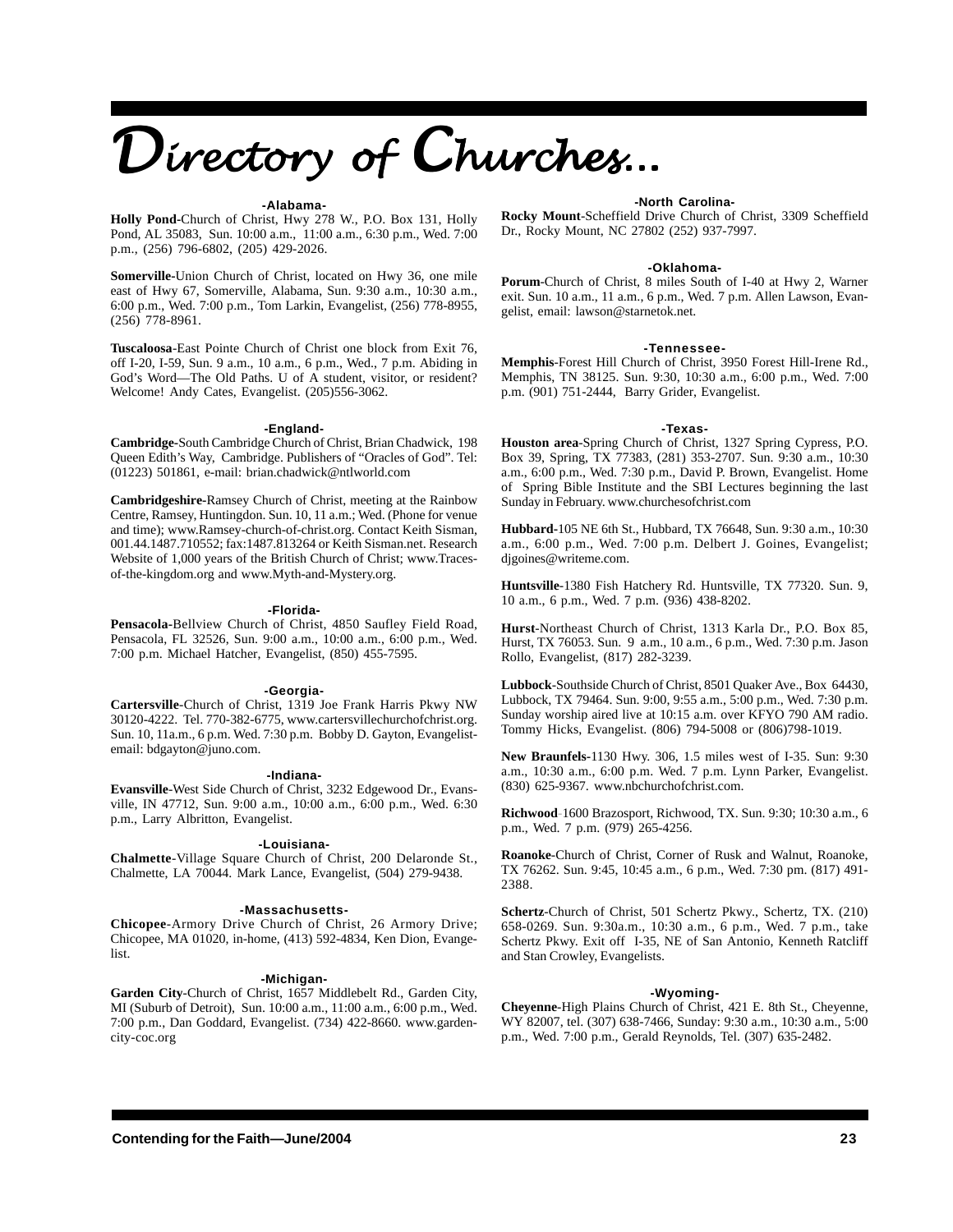# Directory of Churches...

## **-Alabama-**

**Holly Pond-**Church of Christ, Hwy 278 W., P.O. Box 131, Holly Pond, AL 35083, Sun. 10:00 a.m., 11:00 a.m., 6:30 p.m., Wed. 7:00 p.m., (256) 796-6802, (205) 429-2026.

**Somerville-**Union Church of Christ, located on Hwy 36, one mile east of Hwy 67, Somerville, Alabama, Sun. 9:30 a.m., 10:30 a.m., 6:00 p.m., Wed. 7:00 p.m., Tom Larkin, Evangelist, (256) 778-8955, (256) 778-8961.

**Tuscaloosa**-East Pointe Church of Christ one block from Exit 76, off I-20, I-59, Sun. 9 a.m., 10 a.m., 6 p.m., Wed., 7 p.m. Abiding in God's Word—The Old Paths. U of A student, visitor, or resident? Welcome! Andy Cates, Evangelist. (205)556-3062.

### **-England-**

**Cambridge-**South Cambridge Church of Christ, Brian Chadwick, 198 Queen Edith's Way, Cambridge. Publishers of "Oracles of God". Tel: (01223) 501861, e-mail: brian.chadwick@ntlworld.com

**Cambridgeshire-**Ramsey Church of Christ, meeting at the Rainbow Centre, Ramsey, Huntingdon. Sun. 10, 11 a.m.; Wed. (Phone for venue and time); www.Ramsey-church-of-christ.org. Contact Keith Sisman, 001.44.1487.710552; fax:1487.813264 or Keith Sisman.net. Research Website of 1,000 years of the British Church of Christ; www.Tracesof-the-kingdom.org and www.Myth-and-Mystery.org.

### **-Florida-**

**Pensacola-**Bellview Church of Christ, 4850 Saufley Field Road, Pensacola, FL 32526, Sun. 9:00 a.m., 10:00 a.m., 6:00 p.m., Wed. 7:00 p.m. Michael Hatcher, Evangelist, (850) 455-7595.

### **-Georgia-**

**Cartersville**-Church of Christ, 1319 Joe Frank Harris Pkwy NW 30120-4222. Tel. 770-382-6775, www.cartersvillechurchofchrist.org. Sun. 10, 11a.m., 6 p.m. Wed. 7:30 p.m. Bobby D. Gayton, Evangelistemail: bdgayton@juno.com.

## **-Indiana-**

**Evansville**-West Side Church of Christ, 3232 Edgewood Dr., Evansville, IN 47712, Sun. 9:00 a.m., 10:00 a.m., 6:00 p.m., Wed. 6:30 p.m., Larry Albritton, Evangelist.

## **-Louisiana-**

**Chalmette**-Village Square Church of Christ, 200 Delaronde St., Chalmette, LA 70044. Mark Lance, Evangelist, (504) 279-9438.

## **-Massachusetts-**

**Chicopee**-Armory Drive Church of Christ, 26 Armory Drive; Chicopee, MA 01020, in-home, (413) 592-4834, Ken Dion, Evangelist.

## **-Michigan-**

**Garden City**-Church of Christ, 1657 Middlebelt Rd., Garden City, MI (Suburb of Detroit), Sun. 10:00 a.m., 11:00 a.m., 6:00 p.m., Wed. 7:00 p.m., Dan Goddard, Evangelist. (734) 422-8660. www.gardencity-coc.org

## **-North Carolina-**

**Rocky Mount**-Scheffield Drive Church of Christ, 3309 Scheffield Dr., Rocky Mount, NC 27802 (252) 937-7997.

### **-Oklahoma-**

**Porum**-Church of Christ, 8 miles South of I-40 at Hwy 2, Warner exit. Sun. 10 a.m., 11 a.m., 6 p.m., Wed. 7 p.m. Allen Lawson, Evangelist, email: lawson@starnetok.net.

## **-Tennessee-**

**Memphis**-Forest Hill Church of Christ, 3950 Forest Hill-Irene Rd., Memphis, TN 38125. Sun. 9:30, 10:30 a.m., 6:00 p.m., Wed. 7:00 p.m. (901) 751-2444, Barry Grider, Evangelist.

## **-Texas-**

**Houston area**-Spring Church of Christ, 1327 Spring Cypress, P.O. Box 39, Spring, TX 77383, (281) 353-2707. Sun. 9:30 a.m., 10:30 a.m., 6:00 p.m., Wed. 7:30 p.m., David P. Brown, Evangelist. Home of Spring Bible Institute and the SBI Lectures beginning the last Sunday in February. www.churchesofchrist.com

**Hubbard-**105 NE 6th St., Hubbard, TX 76648, Sun. 9:30 a.m., 10:30 a.m., 6:00 p.m., Wed. 7:00 p.m. Delbert J. Goines, Evangelist; djgoines@writeme.com.

**Huntsville**-1380 Fish Hatchery Rd. Huntsville, TX 77320. Sun. 9, 10 a.m., 6 p.m., Wed. 7 p.m. (936) 438-8202.

**Hurst**-Northeast Church of Christ, 1313 Karla Dr., P.O. Box 85, Hurst, TX 76053. Sun. 9 a.m., 10 a.m., 6 p.m., Wed. 7:30 p.m. Jason Rollo, Evangelist, (817) 282-3239.

**Lubbock**-Southside Church of Christ, 8501 Quaker Ave., Box 64430, Lubbock, TX 79464. Sun. 9:00, 9:55 a.m., 5:00 p.m., Wed. 7:30 p.m. Sunday worship aired live at 10:15 a.m. over KFYO 790 AM radio. Tommy Hicks, Evangelist. (806) 794-5008 or (806)798-1019.

**New Braunfels-**1130 Hwy. 306, 1.5 miles west of I-35. Sun: 9:30 a.m., 10:30 a.m., 6:00 p.m. Wed. 7 p.m. Lynn Parker, Evangelist. (830) 625-9367. www.nbchurchofchrist.com.

**Richwood**-1600 Brazosport, Richwood, TX. Sun. 9:30; 10:30 a.m., 6 p.m., Wed. 7 p.m. (979) 265-4256.

**Roanoke**-Church of Christ, Corner of Rusk and Walnut, Roanoke, TX 76262. Sun. 9:45, 10:45 a.m., 6 p.m., Wed. 7:30 pm. (817) 491- 2388.

**Schertz**-Church of Christ, 501 Schertz Pkwy., Schertz, TX. (210) 658-0269. Sun. 9:30a.m., 10:30 a.m., 6 p.m., Wed. 7 p.m., take Schertz Pkwy. Exit off I-35, NE of San Antonio, Kenneth Ratcliff and Stan Crowley, Evangelists.

## **-Wyoming-**

**Cheyenne**-High Plains Church of Christ, 421 E. 8th St., Cheyenne, WY 82007, tel. (307) 638-7466, Sunday: 9:30 a.m., 10:30 a.m., 5:00 p.m., Wed. 7:00 p.m., Gerald Reynolds, Tel. (307) 635-2482.